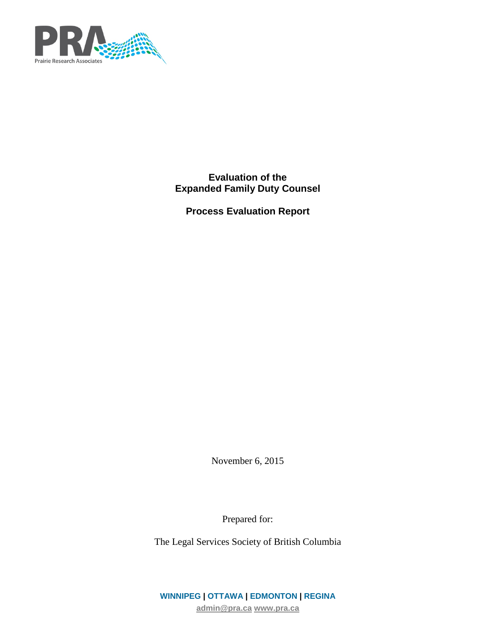

**Evaluation of the Expanded Family Duty Counsel**

**Process Evaluation Report**

November 6, 2015

Prepared for:

The Legal Services Society of British Columbia

**WINNIPEG | OTTAWA | EDMONTON | REGINA [admin@pra.ca](mailto:admin@pra.ca) [www.pra.ca](http://www.pra.ca/)**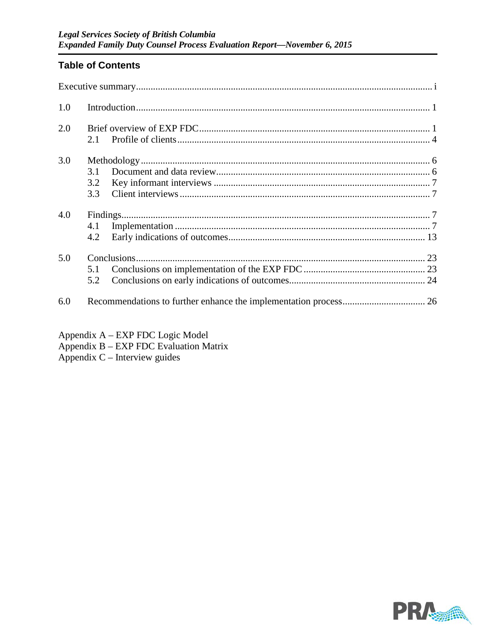# **Table of Contents**

| 1.0 |                   |  |
|-----|-------------------|--|
| 2.0 | 2.1               |  |
| 3.0 | 3.1<br>3.2<br>3.3 |  |
| 4.0 | 4.1<br>4.2        |  |
| 5.0 | 5.1<br>5.2        |  |
| 6.0 |                   |  |

- Appendix A EXP FDC Logic Model
- Appendix B EXP FDC Evaluation Matrix
- Appendix  $C$  Interview guides

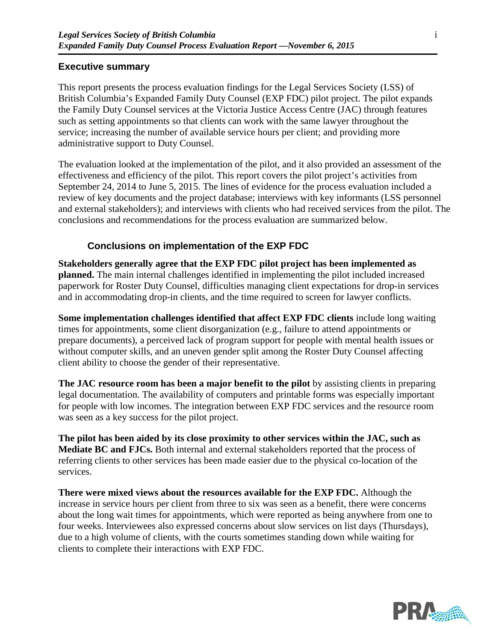### **Executive summary**

This report presents the process evaluation findings for the Legal Services Society (LSS) of British Columbia's Expanded Family Duty Counsel (EXP FDC) pilot project. The pilot expands the Family Duty Counsel services at the Victoria Justice Access Centre (JAC) through features such as setting appointments so that clients can work with the same lawyer throughout the service; increasing the number of available service hours per client; and providing more administrative support to Duty Counsel.

The evaluation looked at the implementation of the pilot, and it also provided an assessment of the effectiveness and efficiency of the pilot. This report covers the pilot project's activities from September 24, 2014 to June 5, 2015. The lines of evidence for the process evaluation included a review of key documents and the project database; interviews with key informants (LSS personnel and external stakeholders); and interviews with clients who had received services from the pilot. The conclusions and recommendations for the process evaluation are summarized below.

### **Conclusions on implementation of the EXP FDC**

**Stakeholders generally agree that the EXP FDC pilot project has been implemented as planned.** The main internal challenges identified in implementing the pilot included increased paperwork for Roster Duty Counsel, difficulties managing client expectations for drop-in services and in accommodating drop-in clients, and the time required to screen for lawyer conflicts.

**Some implementation challenges identified that affect EXP FDC clients** include long waiting times for appointments, some client disorganization (e.g., failure to attend appointments or prepare documents), a perceived lack of program support for people with mental health issues or without computer skills, and an uneven gender split among the Roster Duty Counsel affecting client ability to choose the gender of their representative.

**The JAC resource room has been a major benefit to the pilot** by assisting clients in preparing legal documentation. The availability of computers and printable forms was especially important for people with low incomes. The integration between EXP FDC services and the resource room was seen as a key success for the pilot project.

**The pilot has been aided by its close proximity to other services within the JAC, such as Mediate BC and FJCs.** Both internal and external stakeholders reported that the process of referring clients to other services has been made easier due to the physical co-location of the services.

**There were mixed views about the resources available for the EXP FDC.** Although the increase in service hours per client from three to six was seen as a benefit, there were concerns about the long wait times for appointments, which were reported as being anywhere from one to four weeks. Interviewees also expressed concerns about slow services on list days (Thursdays), due to a high volume of clients, with the courts sometimes standing down while waiting for clients to complete their interactions with EXP FDC.

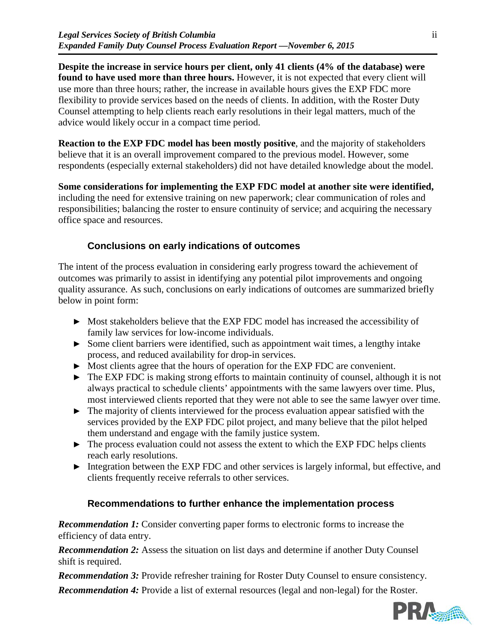**Despite the increase in service hours per client, only 41 clients (4% of the database) were found to have used more than three hours.** However, it is not expected that every client will use more than three hours; rather, the increase in available hours gives the EXP FDC more flexibility to provide services based on the needs of clients. In addition, with the Roster Duty Counsel attempting to help clients reach early resolutions in their legal matters, much of the advice would likely occur in a compact time period.

**Reaction to the EXP FDC model has been mostly positive**, and the majority of stakeholders believe that it is an overall improvement compared to the previous model. However, some respondents (especially external stakeholders) did not have detailed knowledge about the model.

**Some considerations for implementing the EXP FDC model at another site were identified,**  including the need for extensive training on new paperwork; clear communication of roles and responsibilities; balancing the roster to ensure continuity of service; and acquiring the necessary office space and resources.

## **Conclusions on early indications of outcomes**

The intent of the process evaluation in considering early progress toward the achievement of outcomes was primarily to assist in identifying any potential pilot improvements and ongoing quality assurance. As such, conclusions on early indications of outcomes are summarized briefly below in point form:

- ► Most stakeholders believe that the EXP FDC model has increased the accessibility of family law services for low-income individuals.
- ► Some client barriers were identified, such as appointment wait times, a lengthy intake process, and reduced availability for drop-in services.
- ► Most clients agree that the hours of operation for the EXP FDC are convenient.
- ► The EXP FDC is making strong efforts to maintain continuity of counsel, although it is not always practical to schedule clients' appointments with the same lawyers over time. Plus, most interviewed clients reported that they were not able to see the same lawyer over time.
- ► The majority of clients interviewed for the process evaluation appear satisfied with the services provided by the EXP FDC pilot project, and many believe that the pilot helped them understand and engage with the family justice system.
- ► The process evaluation could not assess the extent to which the EXP FDC helps clients reach early resolutions.
- ► Integration between the EXP FDC and other services is largely informal, but effective, and clients frequently receive referrals to other services.

### **Recommendations to further enhance the implementation process**

*Recommendation 1:* Consider converting paper forms to electronic forms to increase the efficiency of data entry.

*Recommendation 2:* Assess the situation on list days and determine if another Duty Counsel shift is required.

*Recommendation 3:* Provide refresher training for Roster Duty Counsel to ensure consistency.

*Recommendation 4:* Provide a list of external resources (legal and non-legal) for the Roster.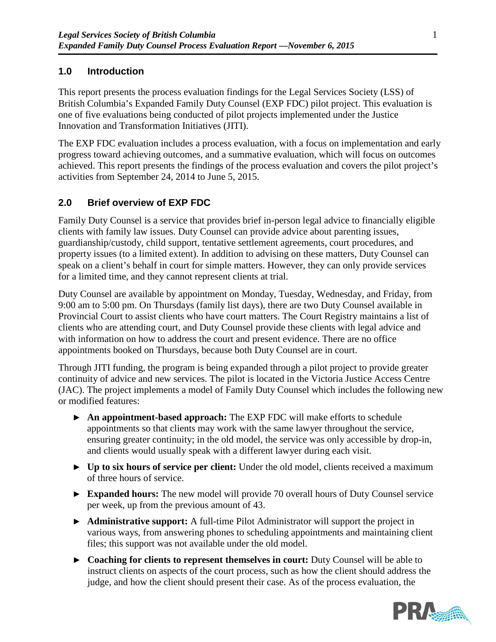# **1.0 Introduction**

This report presents the process evaluation findings for the Legal Services Society (LSS) of British Columbia's Expanded Family Duty Counsel (EXP FDC) pilot project. This evaluation is one of five evaluations being conducted of pilot projects implemented under the Justice Innovation and Transformation Initiatives (JITI).

The EXP FDC evaluation includes a process evaluation, with a focus on implementation and early progress toward achieving outcomes, and a summative evaluation, which will focus on outcomes achieved. This report presents the findings of the process evaluation and covers the pilot project's activities from September 24, 2014 to June 5, 2015.

# **2.0 Brief overview of EXP FDC**

Family Duty Counsel is a service that provides brief in-person legal advice to financially eligible clients with family law issues. Duty Counsel can provide advice about parenting issues, guardianship/custody, child support, tentative settlement agreements, court procedures, and property issues (to a limited extent). In addition to advising on these matters, Duty Counsel can speak on a client's behalf in court for simple matters. However, they can only provide services for a limited time, and they cannot represent clients at trial.

Duty Counsel are available by appointment on Monday, Tuesday, Wednesday, and Friday, from 9:00 am to 5:00 pm. On Thursdays (family list days), there are two Duty Counsel available in Provincial Court to assist clients who have court matters. The Court Registry maintains a list of clients who are attending court, and Duty Counsel provide these clients with legal advice and with information on how to address the court and present evidence. There are no office appointments booked on Thursdays, because both Duty Counsel are in court.

Through JITI funding, the program is being expanded through a pilot project to provide greater continuity of advice and new services. The pilot is located in the Victoria Justice Access Centre (JAC). The project implements a model of Family Duty Counsel which includes the following new or modified features:

- ► **An appointment-based approach:** The EXP FDC will make efforts to schedule appointments so that clients may work with the same lawyer throughout the service, ensuring greater continuity; in the old model, the service was only accessible by drop-in, and clients would usually speak with a different lawyer during each visit.
- ► **Up to six hours of service per client:** Under the old model, clients received a maximum of three hours of service.
- ► **Expanded hours:** The new model will provide 70 overall hours of Duty Counsel service per week, up from the previous amount of 43.
- ► **Administrative support:** A full-time Pilot Administrator will support the project in various ways, from answering phones to scheduling appointments and maintaining client files; this support was not available under the old model.
- ► **Coaching for clients to represent themselves in court:** Duty Counsel will be able to instruct clients on aspects of the court process, such as how the client should address the judge, and how the client should present their case. As of the process evaluation, the

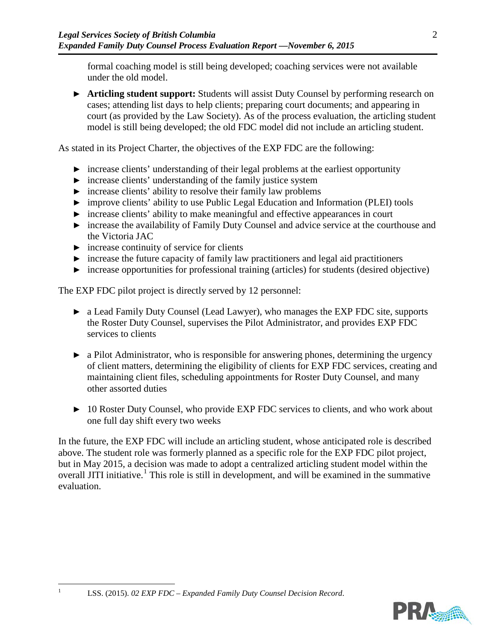formal coaching model is still being developed; coaching services were not available under the old model.

► **Articling student support:** Students will assist Duty Counsel by performing research on cases; attending list days to help clients; preparing court documents; and appearing in court (as provided by the Law Society). As of the process evaluation, the articling student model is still being developed; the old FDC model did not include an articling student.

As stated in its Project Charter, the objectives of the EXP FDC are the following:

- ► increase clients' understanding of their legal problems at the earliest opportunity
- ► increase clients' understanding of the family justice system
- ► increase clients' ability to resolve their family law problems
- ► improve clients' ability to use Public Legal Education and Information (PLEI) tools
- ► increase clients' ability to make meaningful and effective appearances in court
- ► increase the availability of Family Duty Counsel and advice service at the courthouse and the Victoria JAC
- $\triangleright$  increase continuity of service for clients
- $\triangleright$  increase the future capacity of family law practitioners and legal aid practitioners
- ► increase opportunities for professional training (articles) for students (desired objective)

The EXP FDC pilot project is directly served by 12 personnel:

- ► a Lead Family Duty Counsel (Lead Lawyer), who manages the EXP FDC site, supports the Roster Duty Counsel, supervises the Pilot Administrator, and provides EXP FDC services to clients
- ► a Pilot Administrator, who is responsible for answering phones, determining the urgency of client matters, determining the eligibility of clients for EXP FDC services, creating and maintaining client files, scheduling appointments for Roster Duty Counsel, and many other assorted duties
- ► 10 Roster Duty Counsel, who provide EXP FDC services to clients, and who work about one full day shift every two weeks

In the future, the EXP FDC will include an articling student, whose anticipated role is described above. The student role was formerly planned as a specific role for the EXP FDC pilot project, but in May 2015, a decision was made to adopt a centralized articling student model within the overall JITI initiative.<sup>[1](#page-5-0)</sup> This role is still in development, and will be examined in the summative evaluation.



<span id="page-5-0"></span>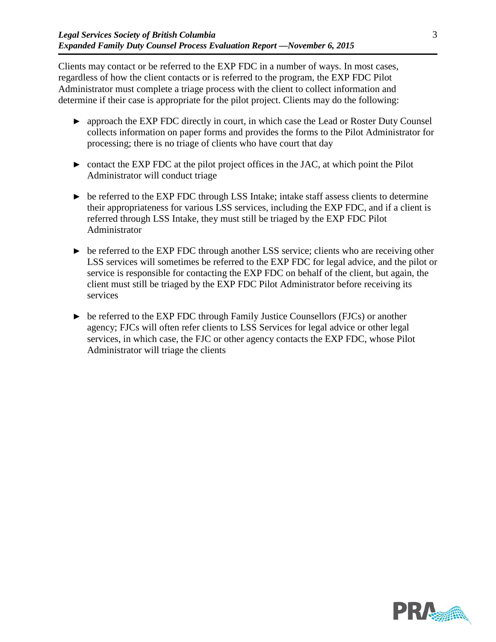Clients may contact or be referred to the EXP FDC in a number of ways. In most cases, regardless of how the client contacts or is referred to the program, the EXP FDC Pilot Administrator must complete a triage process with the client to collect information and determine if their case is appropriate for the pilot project. Clients may do the following:

- ► approach the EXP FDC directly in court, in which case the Lead or Roster Duty Counsel collects information on paper forms and provides the forms to the Pilot Administrator for processing; there is no triage of clients who have court that day
- $\triangleright$  contact the EXP FDC at the pilot project offices in the JAC, at which point the Pilot Administrator will conduct triage
- ► be referred to the EXP FDC through LSS Intake; intake staff assess clients to determine their appropriateness for various LSS services, including the EXP FDC, and if a client is referred through LSS Intake, they must still be triaged by the EXP FDC Pilot Administrator
- $\triangleright$  be referred to the EXP FDC through another LSS service; clients who are receiving other LSS services will sometimes be referred to the EXP FDC for legal advice, and the pilot or service is responsible for contacting the EXP FDC on behalf of the client, but again, the client must still be triaged by the EXP FDC Pilot Administrator before receiving its services
- ► be referred to the EXP FDC through Family Justice Counsellors (FJCs) or another agency; FJCs will often refer clients to LSS Services for legal advice or other legal services, in which case, the FJC or other agency contacts the EXP FDC, whose Pilot Administrator will triage the clients



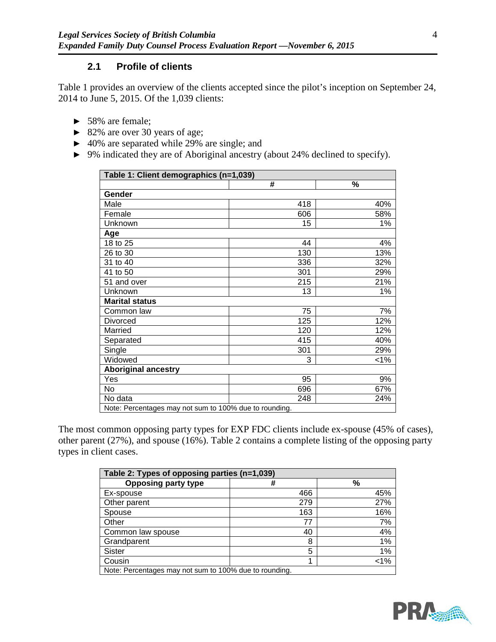### **2.1 Profile of clients**

[Table 1](#page-7-0) provides an overview of the clients accepted since the pilot's inception on September 24, 2014 to June 5, 2015. Of the 1,039 clients:

- ► 58% are female;
- ► 82% are over 30 years of age;
- ► 40% are separated while 29% are single; and
- ► 9% indicated they are of Aboriginal ancestry (about 24% declined to specify).

<span id="page-7-0"></span>

| Table 1: Client demographics (n=1,039)                 |     |     |  |  |  |
|--------------------------------------------------------|-----|-----|--|--|--|
|                                                        | #   | %   |  |  |  |
| Gender                                                 |     |     |  |  |  |
| Male                                                   | 418 | 40% |  |  |  |
| Female                                                 | 606 | 58% |  |  |  |
| Unknown                                                | 15  | 1%  |  |  |  |
| Age                                                    |     |     |  |  |  |
| 18 to 25                                               | 44  | 4%  |  |  |  |
| 26 to 30                                               | 130 | 13% |  |  |  |
| 31 to 40                                               | 336 | 32% |  |  |  |
| 41 to 50                                               | 301 | 29% |  |  |  |
| 51 and over                                            | 215 | 21% |  |  |  |
| Unknown                                                | 13  | 1%  |  |  |  |
| <b>Marital status</b>                                  |     |     |  |  |  |
| Common law                                             | 75  | 7%  |  |  |  |
| Divorced                                               | 125 | 12% |  |  |  |
| Married                                                | 120 | 12% |  |  |  |
| Separated                                              | 415 | 40% |  |  |  |
| Single                                                 | 301 | 29% |  |  |  |
| Widowed                                                | 3   | 1%  |  |  |  |
| <b>Aboriginal ancestry</b>                             |     |     |  |  |  |
| Yes                                                    | 95  | 9%  |  |  |  |
| No                                                     | 696 | 67% |  |  |  |
| No data                                                | 248 | 24% |  |  |  |
| Note: Percentages may not sum to 100% due to rounding. |     |     |  |  |  |

The most common opposing party types for EXP FDC clients include ex-spouse (45% of cases), other parent (27%), and spouse (16%). [Table 2](#page-7-1) contains a complete listing of the opposing party types in client cases.

<span id="page-7-1"></span>

| Table 2: Types of opposing parties (n=1,039)           |     |      |  |
|--------------------------------------------------------|-----|------|--|
| <b>Opposing party type</b>                             | #   | $\%$ |  |
| Ex-spouse                                              | 466 | 45%  |  |
| Other parent                                           | 279 | 27%  |  |
| Spouse                                                 | 163 | 16%  |  |
| Other                                                  | 77  | 7%   |  |
| Common law spouse                                      | 40  | 4%   |  |
| Grandparent                                            | 8   | 1%   |  |
| <b>Sister</b>                                          | 5   | 1%   |  |
| Cousin                                                 |     | 1%   |  |
| Note: Percentages may not sum to 100% due to rounding. |     |      |  |

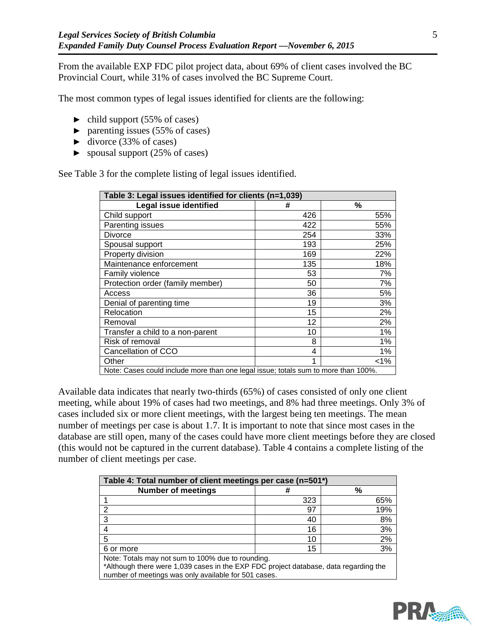From the available EXP FDC pilot project data, about 69% of client cases involved the BC Provincial Court, while 31% of cases involved the BC Supreme Court.

The most common types of legal issues identified for clients are the following:

- $\blacktriangleright$  child support (55% of cases)
- $\blacktriangleright$  parenting issues (55% of cases)
- $\blacktriangleright$  divorce (33% of cases)
- $\blacktriangleright$  spousal support (25% of cases)

See [Table 3](#page-8-0) for the complete listing of legal issues identified.

<span id="page-8-0"></span>

| Table 3: Legal issues identified for clients (n=1,039)                             |     |         |  |
|------------------------------------------------------------------------------------|-----|---------|--|
| <b>Legal issue identified</b>                                                      | #   | %       |  |
| Child support                                                                      | 426 | 55%     |  |
| Parenting issues                                                                   | 422 | 55%     |  |
| Divorce                                                                            | 254 | 33%     |  |
| Spousal support                                                                    | 193 | 25%     |  |
| Property division                                                                  | 169 | 22%     |  |
| Maintenance enforcement                                                            | 135 | 18%     |  |
| Family violence                                                                    | 53  | 7%      |  |
| Protection order (family member)                                                   | 50  | 7%      |  |
| Access                                                                             | 36  | 5%      |  |
| Denial of parenting time                                                           | 19  | 3%      |  |
| Relocation                                                                         | 15  | 2%      |  |
| Removal                                                                            | 12  | 2%      |  |
| Transfer a child to a non-parent                                                   | 10  | 1%      |  |
| Risk of removal                                                                    | 8   | 1%      |  |
| Cancellation of CCO                                                                | 4   | 1%      |  |
| Other                                                                              | 1   | $< 1\%$ |  |
| Note: Cases could include more than one legal issue; totals sum to more than 100%. |     |         |  |

Available data indicates that nearly two-thirds (65%) of cases consisted of only one client meeting, while about 19% of cases had two meetings, and 8% had three meetings. Only 3% of cases included six or more client meetings, with the largest being ten meetings. The mean number of meetings per case is about 1.7. It is important to note that since most cases in the database are still open, many of the cases could have more client meetings before they are closed (this would not be captured in the current database). [Table 4](#page-8-1) contains a complete listing of the number of client meetings per case.

<span id="page-8-1"></span>

| Table 4: Total number of client meetings per case (n=501*)                                                                                                                                        |     |     |  |  |  |  |
|---------------------------------------------------------------------------------------------------------------------------------------------------------------------------------------------------|-----|-----|--|--|--|--|
| <b>Number of meetings</b><br>%                                                                                                                                                                    |     |     |  |  |  |  |
|                                                                                                                                                                                                   | 323 | 65% |  |  |  |  |
|                                                                                                                                                                                                   | 97  | 19% |  |  |  |  |
|                                                                                                                                                                                                   | 40  | 8%  |  |  |  |  |
|                                                                                                                                                                                                   | 16  | 3%  |  |  |  |  |
|                                                                                                                                                                                                   | 10  | 2%  |  |  |  |  |
| 6 or more                                                                                                                                                                                         | 15  | 3%  |  |  |  |  |
| Note: Totals may not sum to 100% due to rounding.<br>*Although there were 1,039 cases in the EXP FDC project database, data regarding the<br>number of meetings was only available for 501 cases. |     |     |  |  |  |  |

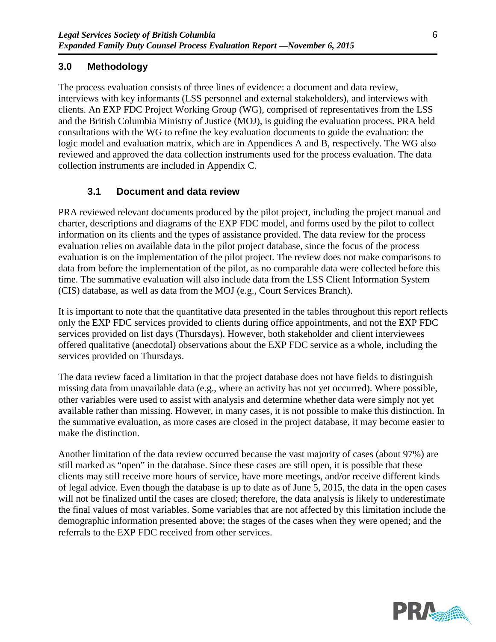## **3.0 Methodology**

The process evaluation consists of three lines of evidence: a document and data review, interviews with key informants (LSS personnel and external stakeholders), and interviews with clients. An EXP FDC Project Working Group (WG), comprised of representatives from the LSS and the British Columbia Ministry of Justice (MOJ), is guiding the evaluation process. PRA held consultations with the WG to refine the key evaluation documents to guide the evaluation: the logic model and evaluation matrix, which are in Appendices A and B, respectively. The WG also reviewed and approved the data collection instruments used for the process evaluation. The data collection instruments are included in Appendix C.

### **3.1 Document and data review**

PRA reviewed relevant documents produced by the pilot project, including the project manual and charter, descriptions and diagrams of the EXP FDC model, and forms used by the pilot to collect information on its clients and the types of assistance provided. The data review for the process evaluation relies on available data in the pilot project database, since the focus of the process evaluation is on the implementation of the pilot project. The review does not make comparisons to data from before the implementation of the pilot, as no comparable data were collected before this time. The summative evaluation will also include data from the LSS Client Information System (CIS) database, as well as data from the MOJ (e.g., Court Services Branch).

It is important to note that the quantitative data presented in the tables throughout this report reflects only the EXP FDC services provided to clients during office appointments, and not the EXP FDC services provided on list days (Thursdays). However, both stakeholder and client interviewees offered qualitative (anecdotal) observations about the EXP FDC service as a whole, including the services provided on Thursdays.

The data review faced a limitation in that the project database does not have fields to distinguish missing data from unavailable data (e.g., where an activity has not yet occurred). Where possible, other variables were used to assist with analysis and determine whether data were simply not yet available rather than missing. However, in many cases, it is not possible to make this distinction. In the summative evaluation, as more cases are closed in the project database, it may become easier to make the distinction.

Another limitation of the data review occurred because the vast majority of cases (about 97%) are still marked as "open" in the database. Since these cases are still open, it is possible that these clients may still receive more hours of service, have more meetings, and/or receive different kinds of legal advice. Even though the database is up to date as of June 5, 2015, the data in the open cases will not be finalized until the cases are closed; therefore, the data analysis is likely to underestimate the final values of most variables. Some variables that are not affected by this limitation include the demographic information presented above; the stages of the cases when they were opened; and the referrals to the EXP FDC received from other services.

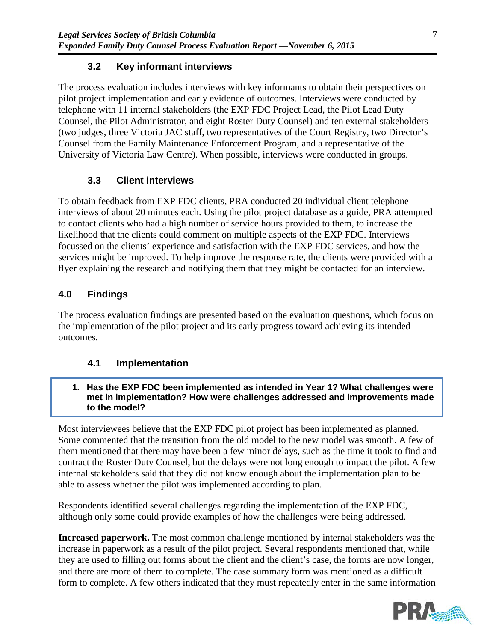# **3.2 Key informant interviews**

The process evaluation includes interviews with key informants to obtain their perspectives on pilot project implementation and early evidence of outcomes. Interviews were conducted by telephone with 11 internal stakeholders (the EXP FDC Project Lead, the Pilot Lead Duty Counsel, the Pilot Administrator, and eight Roster Duty Counsel) and ten external stakeholders (two judges, three Victoria JAC staff, two representatives of the Court Registry, two Director's Counsel from the Family Maintenance Enforcement Program, and a representative of the University of Victoria Law Centre). When possible, interviews were conducted in groups.

# **3.3 Client interviews**

To obtain feedback from EXP FDC clients, PRA conducted 20 individual client telephone interviews of about 20 minutes each. Using the pilot project database as a guide, PRA attempted to contact clients who had a high number of service hours provided to them, to increase the likelihood that the clients could comment on multiple aspects of the EXP FDC. Interviews focussed on the clients' experience and satisfaction with the EXP FDC services, and how the services might be improved. To help improve the response rate, the clients were provided with a flyer explaining the research and notifying them that they might be contacted for an interview.

# **4.0 Findings**

The process evaluation findings are presented based on the evaluation questions, which focus on the implementation of the pilot project and its early progress toward achieving its intended outcomes.

# <span id="page-10-0"></span>**4.1 Implementation**

#### **1. Has the EXP FDC been implemented as intended in Year 1? What challenges were met in implementation? How were challenges addressed and improvements made to the model?**

Most interviewees believe that the EXP FDC pilot project has been implemented as planned. Some commented that the transition from the old model to the new model was smooth. A few of them mentioned that there may have been a few minor delays, such as the time it took to find and contract the Roster Duty Counsel, but the delays were not long enough to impact the pilot. A few internal stakeholders said that they did not know enough about the implementation plan to be able to assess whether the pilot was implemented according to plan.

Respondents identified several challenges regarding the implementation of the EXP FDC, although only some could provide examples of how the challenges were being addressed.

**Increased paperwork.** The most common challenge mentioned by internal stakeholders was the increase in paperwork as a result of the pilot project. Several respondents mentioned that, while they are used to filling out forms about the client and the client's case, the forms are now longer, and there are more of them to complete. The case summary form was mentioned as a difficult form to complete. A few others indicated that they must repeatedly enter in the same information

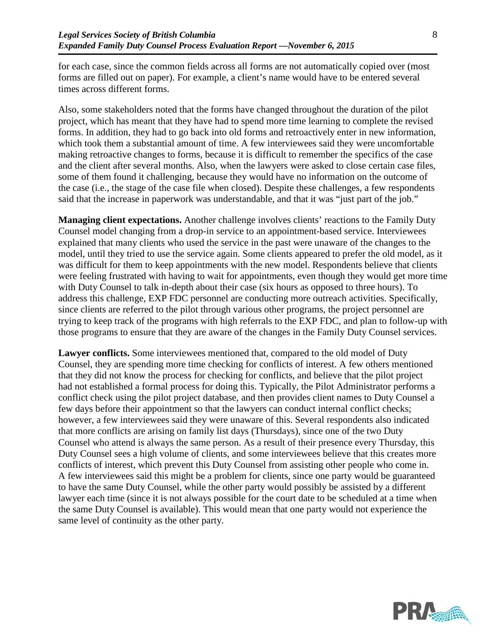for each case, since the common fields across all forms are not automatically copied over (most forms are filled out on paper). For example, a client's name would have to be entered several times across different forms.

Also, some stakeholders noted that the forms have changed throughout the duration of the pilot project, which has meant that they have had to spend more time learning to complete the revised forms. In addition, they had to go back into old forms and retroactively enter in new information, which took them a substantial amount of time. A few interviewees said they were uncomfortable making retroactive changes to forms, because it is difficult to remember the specifics of the case and the client after several months. Also, when the lawyers were asked to close certain case files, some of them found it challenging, because they would have no information on the outcome of the case (i.e., the stage of the case file when closed). Despite these challenges, a few respondents said that the increase in paperwork was understandable, and that it was "just part of the job."

**Managing client expectations.** Another challenge involves clients' reactions to the Family Duty Counsel model changing from a drop-in service to an appointment-based service. Interviewees explained that many clients who used the service in the past were unaware of the changes to the model, until they tried to use the service again. Some clients appeared to prefer the old model, as it was difficult for them to keep appointments with the new model. Respondents believe that clients were feeling frustrated with having to wait for appointments, even though they would get more time with Duty Counsel to talk in-depth about their case (six hours as opposed to three hours). To address this challenge, EXP FDC personnel are conducting more outreach activities. Specifically, since clients are referred to the pilot through various other programs, the project personnel are trying to keep track of the programs with high referrals to the EXP FDC, and plan to follow-up with those programs to ensure that they are aware of the changes in the Family Duty Counsel services.

**Lawyer conflicts.** Some interviewees mentioned that, compared to the old model of Duty Counsel, they are spending more time checking for conflicts of interest. A few others mentioned that they did not know the process for checking for conflicts, and believe that the pilot project had not established a formal process for doing this. Typically, the Pilot Administrator performs a conflict check using the pilot project database, and then provides client names to Duty Counsel a few days before their appointment so that the lawyers can conduct internal conflict checks; however, a few interviewees said they were unaware of this. Several respondents also indicated that more conflicts are arising on family list days (Thursdays), since one of the two Duty Counsel who attend is always the same person. As a result of their presence every Thursday, this Duty Counsel sees a high volume of clients, and some interviewees believe that this creates more conflicts of interest, which prevent this Duty Counsel from assisting other people who come in. A few interviewees said this might be a problem for clients, since one party would be guaranteed to have the same Duty Counsel, while the other party would possibly be assisted by a different lawyer each time (since it is not always possible for the court date to be scheduled at a time when the same Duty Counsel is available). This would mean that one party would not experience the same level of continuity as the other party.

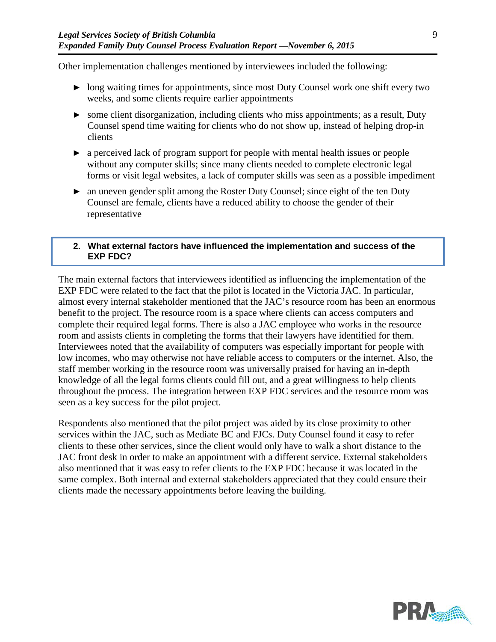Other implementation challenges mentioned by interviewees included the following:

- ► long waiting times for appointments, since most Duty Counsel work one shift every two weeks, and some clients require earlier appointments
- ► some client disorganization, including clients who miss appointments; as a result, Duty Counsel spend time waiting for clients who do not show up, instead of helping drop-in clients
- ► a perceived lack of program support for people with mental health issues or people without any computer skills; since many clients needed to complete electronic legal forms or visit legal websites, a lack of computer skills was seen as a possible impediment
- ► an uneven gender split among the Roster Duty Counsel; since eight of the ten Duty Counsel are female, clients have a reduced ability to choose the gender of their representative

#### **2. What external factors have influenced the implementation and success of the EXP FDC?**

The main external factors that interviewees identified as influencing the implementation of the EXP FDC were related to the fact that the pilot is located in the Victoria JAC. In particular, almost every internal stakeholder mentioned that the JAC's resource room has been an enormous benefit to the project. The resource room is a space where clients can access computers and complete their required legal forms. There is also a JAC employee who works in the resource room and assists clients in completing the forms that their lawyers have identified for them. Interviewees noted that the availability of computers was especially important for people with low incomes, who may otherwise not have reliable access to computers or the internet. Also, the staff member working in the resource room was universally praised for having an in-depth knowledge of all the legal forms clients could fill out, and a great willingness to help clients throughout the process. The integration between EXP FDC services and the resource room was seen as a key success for the pilot project.

Respondents also mentioned that the pilot project was aided by its close proximity to other services within the JAC, such as Mediate BC and FJCs. Duty Counsel found it easy to refer clients to these other services, since the client would only have to walk a short distance to the JAC front desk in order to make an appointment with a different service. External stakeholders also mentioned that it was easy to refer clients to the EXP FDC because it was located in the same complex. Both internal and external stakeholders appreciated that they could ensure their clients made the necessary appointments before leaving the building.

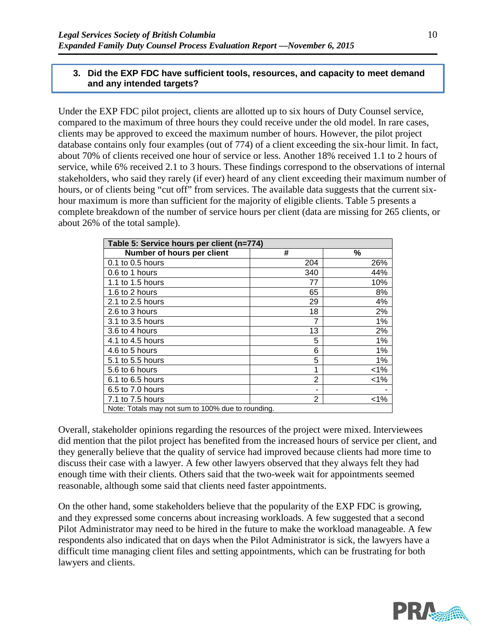#### **3. Did the EXP FDC have sufficient tools, resources, and capacity to meet demand and any intended targets?**

Under the EXP FDC pilot project, clients are allotted up to six hours of Duty Counsel service, compared to the maximum of three hours they could receive under the old model. In rare cases, clients may be approved to exceed the maximum number of hours. However, the pilot project database contains only four examples (out of 774) of a client exceeding the six-hour limit. In fact, about 70% of clients received one hour of service or less. Another 18% received 1.1 to 2 hours of service, while 6% received 2.1 to 3 hours. These findings correspond to the observations of internal stakeholders, who said they rarely (if ever) heard of any client exceeding their maximum number of hours, or of clients being "cut off" from services. The available data suggests that the current sixhour maximum is more than sufficient for the majority of eligible clients. [Table 5](#page-13-0) presents a complete breakdown of the number of service hours per client (data are missing for 265 clients, or about 26% of the total sample).

<span id="page-13-0"></span>

| Table 5: Service hours per client (n=774)         |                |         |  |  |
|---------------------------------------------------|----------------|---------|--|--|
| Number of hours per client                        | #              | %       |  |  |
| 0.1 to 0.5 hours                                  | 204            | 26%     |  |  |
| 0.6 to 1 hours                                    | 340            | 44%     |  |  |
| 1.1 to 1.5 hours                                  | 77             | 10%     |  |  |
| 1.6 to 2 hours                                    | 65             | 8%      |  |  |
| 2.1 to 2.5 hours                                  | 29             | 4%      |  |  |
| 2.6 to 3 hours                                    | 18             | 2%      |  |  |
| 3.1 to 3.5 hours                                  |                | 1%      |  |  |
| 3.6 to 4 hours                                    | 13             | 2%      |  |  |
| 4.1 to 4.5 hours                                  | 5              | 1%      |  |  |
| 4.6 to 5 hours                                    | 6              | 1%      |  |  |
| 5.1 to 5.5 hours                                  | 5              | $1\%$   |  |  |
| 5.6 to 6 hours                                    | 1              | $1\%$   |  |  |
| 6.1 to 6.5 hours                                  | $\overline{2}$ | $1\%$   |  |  |
| 6.5 to 7.0 hours                                  |                |         |  |  |
| 7.1 to 7.5 hours                                  | 2              | $< 1\%$ |  |  |
| Note: Totals may not sum to 100% due to rounding. |                |         |  |  |

Overall, stakeholder opinions regarding the resources of the project were mixed. Interviewees did mention that the pilot project has benefited from the increased hours of service per client, and they generally believe that the quality of service had improved because clients had more time to discuss their case with a lawyer. A few other lawyers observed that they always felt they had enough time with their clients. Others said that the two-week wait for appointments seemed reasonable, although some said that clients need faster appointments.

On the other hand, some stakeholders believe that the popularity of the EXP FDC is growing, and they expressed some concerns about increasing workloads. A few suggested that a second Pilot Administrator may need to be hired in the future to make the workload manageable. A few respondents also indicated that on days when the Pilot Administrator is sick, the lawyers have a difficult time managing client files and setting appointments, which can be frustrating for both lawyers and clients.

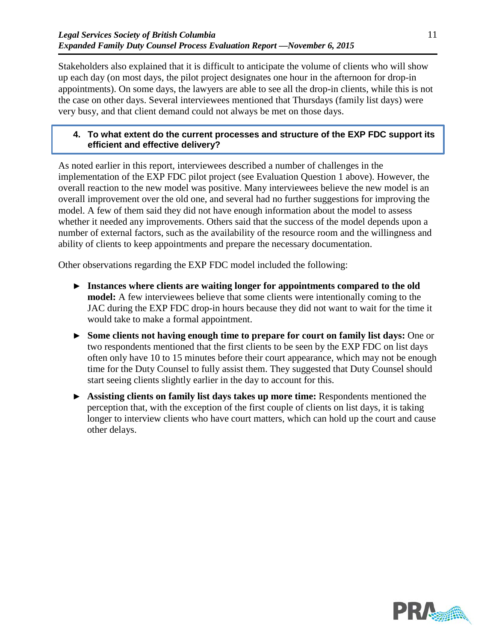Stakeholders also explained that it is difficult to anticipate the volume of clients who will show up each day (on most days, the pilot project designates one hour in the afternoon for drop-in appointments). On some days, the lawyers are able to see all the drop-in clients, while this is not the case on other days. Several interviewees mentioned that Thursdays (family list days) were very busy, and that client demand could not always be met on those days.

#### **4. To what extent do the current processes and structure of the EXP FDC support its efficient and effective delivery?**

As noted earlier in this report, interviewees described a number of challenges in the implementation of the EXP FDC pilot project (see Evaluation Question 1 above). However, the overall reaction to the new model was positive. Many interviewees believe the new model is an overall improvement over the old one, and several had no further suggestions for improving the model. A few of them said they did not have enough information about the model to assess whether it needed any improvements. Others said that the success of the model depends upon a number of external factors, such as the availability of the resource room and the willingness and ability of clients to keep appointments and prepare the necessary documentation.

Other observations regarding the EXP FDC model included the following:

- ► **Instances where clients are waiting longer for appointments compared to the old model:** A few interviewees believe that some clients were intentionally coming to the JAC during the EXP FDC drop-in hours because they did not want to wait for the time it would take to make a formal appointment.
- ► **Some clients not having enough time to prepare for court on family list days:** One or two respondents mentioned that the first clients to be seen by the EXP FDC on list days often only have 10 to 15 minutes before their court appearance, which may not be enough time for the Duty Counsel to fully assist them. They suggested that Duty Counsel should start seeing clients slightly earlier in the day to account for this.
- ► **Assisting clients on family list days takes up more time:** Respondents mentioned the perception that, with the exception of the first couple of clients on list days, it is taking longer to interview clients who have court matters, which can hold up the court and cause other delays.

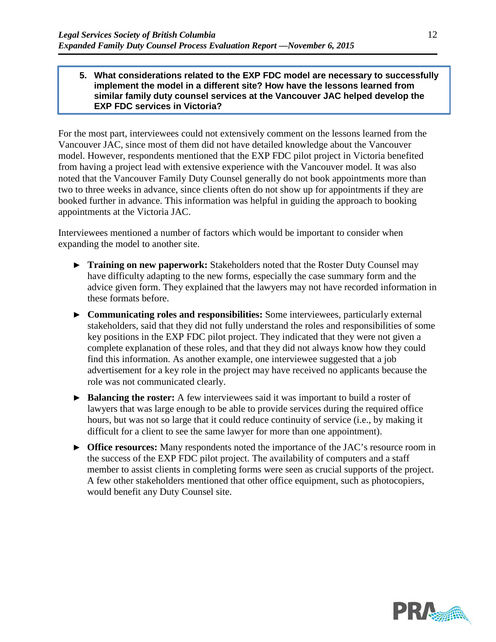#### **5. What considerations related to the EXP FDC model are necessary to successfully implement the model in a different site? How have the lessons learned from similar family duty counsel services at the Vancouver JAC helped develop the EXP FDC services in Victoria?**

For the most part, interviewees could not extensively comment on the lessons learned from the Vancouver JAC, since most of them did not have detailed knowledge about the Vancouver model. However, respondents mentioned that the EXP FDC pilot project in Victoria benefited from having a project lead with extensive experience with the Vancouver model. It was also noted that the Vancouver Family Duty Counsel generally do not book appointments more than two to three weeks in advance, since clients often do not show up for appointments if they are booked further in advance. This information was helpful in guiding the approach to booking appointments at the Victoria JAC.

Interviewees mentioned a number of factors which would be important to consider when expanding the model to another site.

- ► **Training on new paperwork:** Stakeholders noted that the Roster Duty Counsel may have difficulty adapting to the new forms, especially the case summary form and the advice given form. They explained that the lawyers may not have recorded information in these formats before.
- ► **Communicating roles and responsibilities:** Some interviewees, particularly external stakeholders, said that they did not fully understand the roles and responsibilities of some key positions in the EXP FDC pilot project. They indicated that they were not given a complete explanation of these roles, and that they did not always know how they could find this information. As another example, one interviewee suggested that a job advertisement for a key role in the project may have received no applicants because the role was not communicated clearly.
- ► **Balancing the roster:** A few interviewees said it was important to build a roster of lawyers that was large enough to be able to provide services during the required office hours, but was not so large that it could reduce continuity of service (i.e., by making it difficult for a client to see the same lawyer for more than one appointment).
- ► **Office resources:** Many respondents noted the importance of the JAC's resource room in the success of the EXP FDC pilot project. The availability of computers and a staff member to assist clients in completing forms were seen as crucial supports of the project. A few other stakeholders mentioned that other office equipment, such as photocopiers, would benefit any Duty Counsel site.

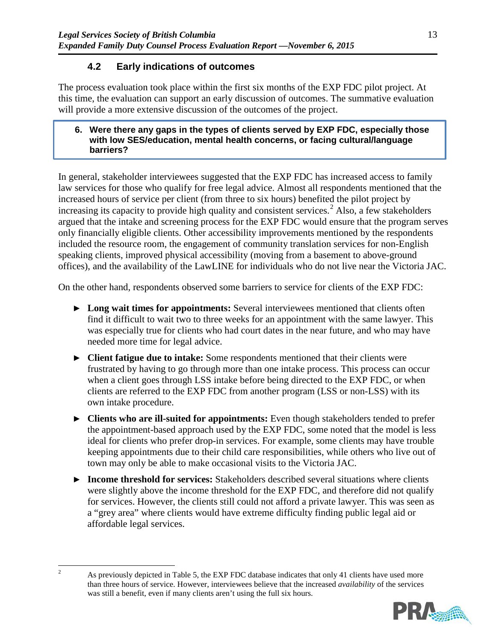# **4.2 Early indications of outcomes**

<span id="page-16-1"></span>The process evaluation took place within the first six months of the EXP FDC pilot project. At this time, the evaluation can support an early discussion of outcomes. The summative evaluation will provide a more extensive discussion of the outcomes of the project.

#### **6. Were there any gaps in the types of clients served by EXP FDC, especially those with low SES/education, mental health concerns, or facing cultural/language barriers?**

In general, stakeholder interviewees suggested that the EXP FDC has increased access to family law services for those who qualify for free legal advice. Almost all respondents mentioned that the increased hours of service per client (from three to six hours) benefited the pilot project by increasing its capacity to provide high quality and consistent services.<sup>[2](#page-16-0)</sup> Also, a few stakeholders argued that the intake and screening process for the EXP FDC would ensure that the program serves only financially eligible clients. Other accessibility improvements mentioned by the respondents included the resource room, the engagement of community translation services for non-English speaking clients, improved physical accessibility (moving from a basement to above-ground offices), and the availability of the LawLINE for individuals who do not live near the Victoria JAC.

On the other hand, respondents observed some barriers to service for clients of the EXP FDC:

- ► **Long wait times for appointments:** Several interviewees mentioned that clients often find it difficult to wait two to three weeks for an appointment with the same lawyer. This was especially true for clients who had court dates in the near future, and who may have needed more time for legal advice.
- ► **Client fatigue due to intake:** Some respondents mentioned that their clients were frustrated by having to go through more than one intake process. This process can occur when a client goes through LSS intake before being directed to the EXP FDC, or when clients are referred to the EXP FDC from another program (LSS or non-LSS) with its own intake procedure.
- ► **Clients who are ill-suited for appointments:** Even though stakeholders tended to prefer the appointment-based approach used by the EXP FDC, some noted that the model is less ideal for clients who prefer drop-in services. For example, some clients may have trouble keeping appointments due to their child care responsibilities, while others who live out of town may only be able to make occasional visits to the Victoria JAC.
- ► **Income threshold for services:** Stakeholders described several situations where clients were slightly above the income threshold for the EXP FDC, and therefore did not qualify for services. However, the clients still could not afford a private lawyer. This was seen as a "grey area" where clients would have extreme difficulty finding public legal aid or affordable legal services.

<sup>&</sup>lt;sup>2</sup> As previously depicted in [Table 5,](#page-13-0) the EXP FDC database indicates that only 41 clients have used more than three hours of service. However, interviewees believe that the increased *availability* of the services was still a benefit, even if many clients aren't using the full six hours.



<span id="page-16-0"></span>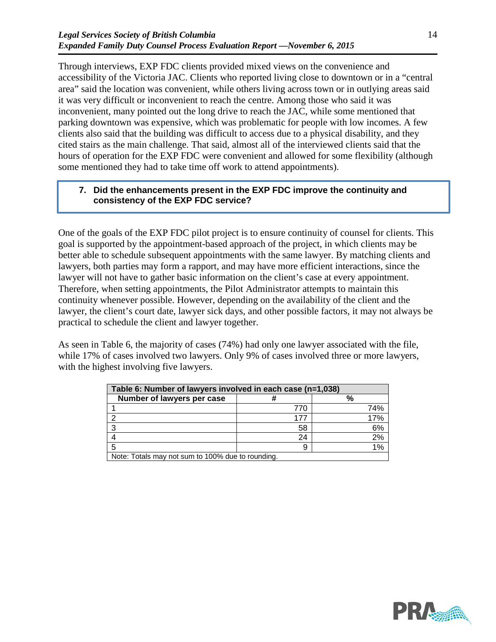Through interviews, EXP FDC clients provided mixed views on the convenience and accessibility of the Victoria JAC. Clients who reported living close to downtown or in a "central area" said the location was convenient, while others living across town or in outlying areas said it was very difficult or inconvenient to reach the centre. Among those who said it was inconvenient, many pointed out the long drive to reach the JAC, while some mentioned that parking downtown was expensive, which was problematic for people with low incomes. A few clients also said that the building was difficult to access due to a physical disability, and they cited stairs as the main challenge. That said, almost all of the interviewed clients said that the hours of operation for the EXP FDC were convenient and allowed for some flexibility (although some mentioned they had to take time off work to attend appointments).

#### **7. Did the enhancements present in the EXP FDC improve the continuity and consistency of the EXP FDC service?**

One of the goals of the EXP FDC pilot project is to ensure continuity of counsel for clients. This goal is supported by the appointment-based approach of the project, in which clients may be better able to schedule subsequent appointments with the same lawyer. By matching clients and lawyers, both parties may form a rapport, and may have more efficient interactions, since the lawyer will not have to gather basic information on the client's case at every appointment. Therefore, when setting appointments, the Pilot Administrator attempts to maintain this continuity whenever possible. However, depending on the availability of the client and the lawyer, the client's court date, lawyer sick days, and other possible factors, it may not always be practical to schedule the client and lawyer together.

As seen in [Table 6,](#page-17-0) the majority of cases (74%) had only one lawyer associated with the file, while 17% of cases involved two lawyers. Only 9% of cases involved three or more lawyers, with the highest involving five lawyers.

<span id="page-17-0"></span>

| Table 6: Number of lawyers involved in each case (n=1,038) |     |     |  |  |
|------------------------------------------------------------|-----|-----|--|--|
| Number of lawyers per case<br>%                            |     |     |  |  |
|                                                            | 770 | 74% |  |  |
|                                                            | 177 | 17% |  |  |
|                                                            | 58  | 6%  |  |  |
|                                                            | 24  | 2%  |  |  |
|                                                            |     | 1%  |  |  |
| Note: Totals may not sum to 100% due to rounding.          |     |     |  |  |

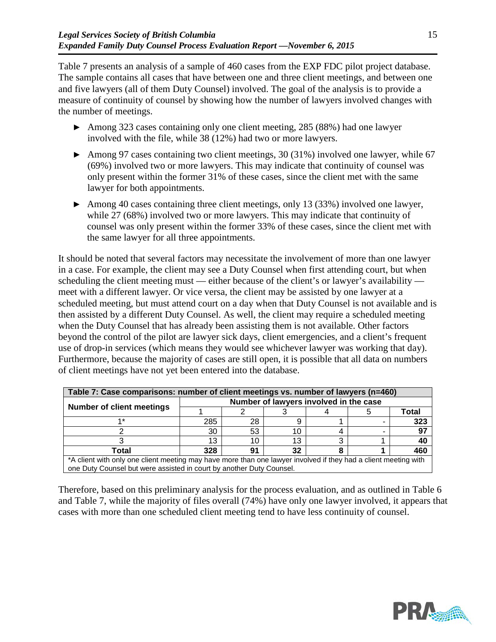[Table 7](#page-18-0) presents an analysis of a sample of 460 cases from the EXP FDC pilot project database. The sample contains all cases that have between one and three client meetings, and between one and five lawyers (all of them Duty Counsel) involved. The goal of the analysis is to provide a measure of continuity of counsel by showing how the number of lawyers involved changes with the number of meetings.

- ► Among 323 cases containing only one client meeting, 285 (88%) had one lawyer involved with the file, while 38 (12%) had two or more lawyers.
- ► Among 97 cases containing two client meetings, 30 (31%) involved one lawyer, while 67 (69%) involved two or more lawyers. This may indicate that continuity of counsel was only present within the former 31% of these cases, since the client met with the same lawyer for both appointments.
- ► Among 40 cases containing three client meetings, only 13 (33%) involved one lawyer, while 27 (68%) involved two or more lawyers. This may indicate that continuity of counsel was only present within the former 33% of these cases, since the client met with the same lawyer for all three appointments.

It should be noted that several factors may necessitate the involvement of more than one lawyer in a case. For example, the client may see a Duty Counsel when first attending court, but when scheduling the client meeting must — either because of the client's or lawyer's availability meet with a different lawyer. Or vice versa, the client may be assisted by one lawyer at a scheduled meeting, but must attend court on a day when that Duty Counsel is not available and is then assisted by a different Duty Counsel. As well, the client may require a scheduled meeting when the Duty Counsel that has already been assisting them is not available. Other factors beyond the control of the pilot are lawyer sick days, client emergencies, and a client's frequent use of drop-in services (which means they would see whichever lawyer was working that day). Furthermore, because the majority of cases are still open, it is possible that all data on numbers of client meetings have not yet been entered into the database.

<span id="page-18-0"></span>

| Table 7: Case comparisons: number of client meetings vs. number of lawyers (n=460)                              |                                        |    |    |  |  |       |  |
|-----------------------------------------------------------------------------------------------------------------|----------------------------------------|----|----|--|--|-------|--|
|                                                                                                                 | Number of lawyers involved in the case |    |    |  |  |       |  |
| <b>Number of client meetings</b>                                                                                |                                        |    |    |  |  | Total |  |
| 4 *                                                                                                             | 285                                    | 28 |    |  |  | 323   |  |
|                                                                                                                 | 30                                     | 53 | 10 |  |  | 97    |  |
|                                                                                                                 | 13                                     | 10 | 13 |  |  | -40   |  |
| Total                                                                                                           | 328                                    | 91 | 32 |  |  | 460   |  |
| *A client with only one client meeting may have more than one lawyer involved if they had a client meeting with |                                        |    |    |  |  |       |  |

\*A client with only one client meeting may have more than one lawyer involved if they had a client meeting with one Duty Counsel but were assisted in court by another Duty Counsel.

Therefore, based on this preliminary analysis for the process evaluation, and as outlined in [Table 6](#page-17-0) and [Table 7,](#page-18-0) while the majority of files overall (74%) have only one lawyer involved, it appears that cases with more than one scheduled client meeting tend to have less continuity of counsel.

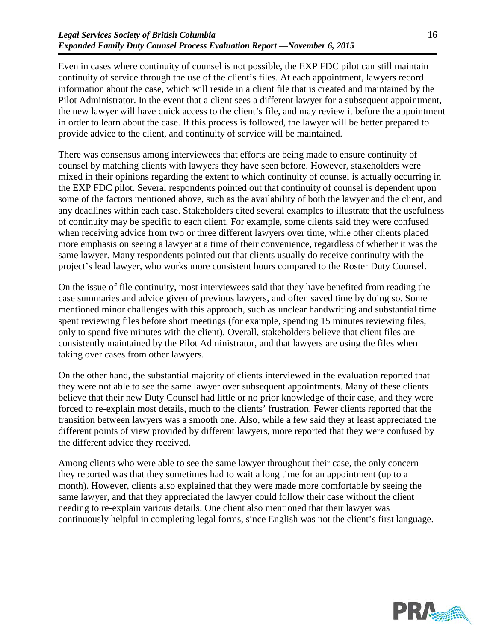Even in cases where continuity of counsel is not possible, the EXP FDC pilot can still maintain continuity of service through the use of the client's files. At each appointment, lawyers record information about the case, which will reside in a client file that is created and maintained by the Pilot Administrator. In the event that a client sees a different lawyer for a subsequent appointment, the new lawyer will have quick access to the client's file, and may review it before the appointment in order to learn about the case. If this process is followed, the lawyer will be better prepared to provide advice to the client, and continuity of service will be maintained.

There was consensus among interviewees that efforts are being made to ensure continuity of counsel by matching clients with lawyers they have seen before. However, stakeholders were mixed in their opinions regarding the extent to which continuity of counsel is actually occurring in the EXP FDC pilot. Several respondents pointed out that continuity of counsel is dependent upon some of the factors mentioned above, such as the availability of both the lawyer and the client, and any deadlines within each case. Stakeholders cited several examples to illustrate that the usefulness of continuity may be specific to each client. For example, some clients said they were confused when receiving advice from two or three different lawyers over time, while other clients placed more emphasis on seeing a lawyer at a time of their convenience, regardless of whether it was the same lawyer. Many respondents pointed out that clients usually do receive continuity with the project's lead lawyer, who works more consistent hours compared to the Roster Duty Counsel.

On the issue of file continuity, most interviewees said that they have benefited from reading the case summaries and advice given of previous lawyers, and often saved time by doing so. Some mentioned minor challenges with this approach, such as unclear handwriting and substantial time spent reviewing files before short meetings (for example, spending 15 minutes reviewing files, only to spend five minutes with the client). Overall, stakeholders believe that client files are consistently maintained by the Pilot Administrator, and that lawyers are using the files when taking over cases from other lawyers.

On the other hand, the substantial majority of clients interviewed in the evaluation reported that they were not able to see the same lawyer over subsequent appointments. Many of these clients believe that their new Duty Counsel had little or no prior knowledge of their case, and they were forced to re-explain most details, much to the clients' frustration. Fewer clients reported that the transition between lawyers was a smooth one. Also, while a few said they at least appreciated the different points of view provided by different lawyers, more reported that they were confused by the different advice they received.

Among clients who were able to see the same lawyer throughout their case, the only concern they reported was that they sometimes had to wait a long time for an appointment (up to a month). However, clients also explained that they were made more comfortable by seeing the same lawyer, and that they appreciated the lawyer could follow their case without the client needing to re-explain various details. One client also mentioned that their lawyer was continuously helpful in completing legal forms, since English was not the client's first language.

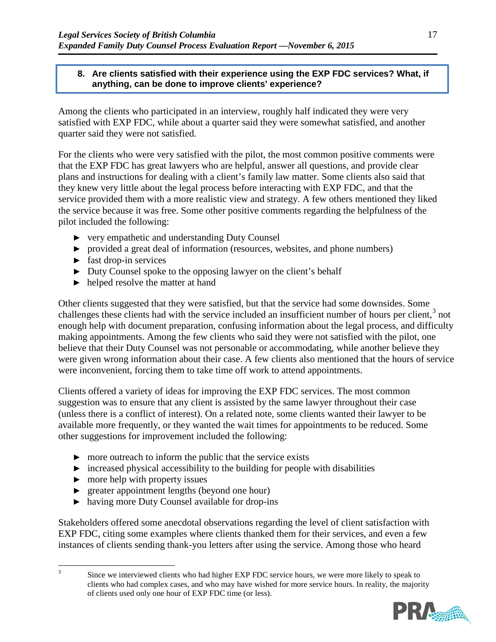#### **8. Are clients satisfied with their experience using the EXP FDC services? What, if anything, can be done to improve clients' experience?**

Among the clients who participated in an interview, roughly half indicated they were very satisfied with EXP FDC, while about a quarter said they were somewhat satisfied, and another quarter said they were not satisfied.

For the clients who were very satisfied with the pilot, the most common positive comments were that the EXP FDC has great lawyers who are helpful, answer all questions, and provide clear plans and instructions for dealing with a client's family law matter. Some clients also said that they knew very little about the legal process before interacting with EXP FDC, and that the service provided them with a more realistic view and strategy. A few others mentioned they liked the service because it was free. Some other positive comments regarding the helpfulness of the pilot included the following:

- ► very empathetic and understanding Duty Counsel
- ► provided a great deal of information (resources, websites, and phone numbers)
- $\blacktriangleright$  fast drop-in services
- ► Duty Counsel spoke to the opposing lawyer on the client's behalf
- ► helped resolve the matter at hand

Other clients suggested that they were satisfied, but that the service had some downsides. Some challenges these clients had with the service included an insufficient number of hours per client, $3$  not enough help with document preparation, confusing information about the legal process, and difficulty making appointments. Among the few clients who said they were not satisfied with the pilot, one believe that their Duty Counsel was not personable or accommodating, while another believe they were given wrong information about their case. A few clients also mentioned that the hours of service were inconvenient, forcing them to take time off work to attend appointments.

Clients offered a variety of ideas for improving the EXP FDC services. The most common suggestion was to ensure that any client is assisted by the same lawyer throughout their case (unless there is a conflict of interest). On a related note, some clients wanted their lawyer to be available more frequently, or they wanted the wait times for appointments to be reduced. Some other suggestions for improvement included the following:

- $\triangleright$  more outreach to inform the public that the service exists
- $\triangleright$  increased physical accessibility to the building for people with disabilities
- $\triangleright$  more help with property issues
- ► greater appointment lengths (beyond one hour)
- ► having more Duty Counsel available for drop-ins

Stakeholders offered some anecdotal observations regarding the level of client satisfaction with EXP FDC, citing some examples where clients thanked them for their services, and even a few instances of clients sending thank-you letters after using the service. Among those who heard

<span id="page-20-0"></span><sup>&</sup>lt;sup>3</sup> Since we interviewed clients who had higher EXP FDC service hours, we were more likely to speak to clients who had complex cases, and who may have wished for more service hours. In reality, the majority of clients used only one hour of EXP FDC time (or less).

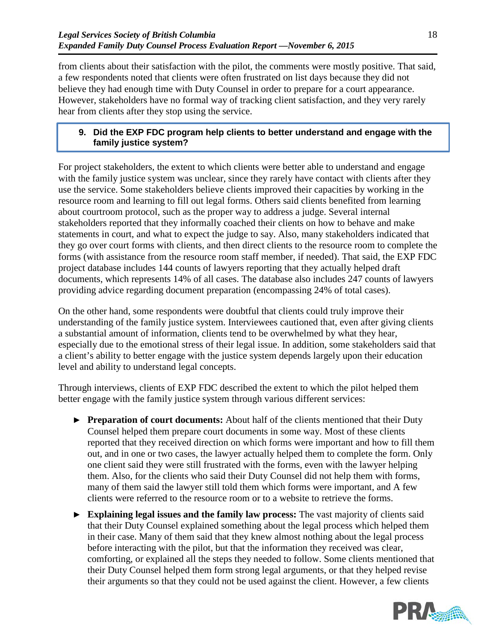from clients about their satisfaction with the pilot, the comments were mostly positive. That said, a few respondents noted that clients were often frustrated on list days because they did not believe they had enough time with Duty Counsel in order to prepare for a court appearance. However, stakeholders have no formal way of tracking client satisfaction, and they very rarely hear from clients after they stop using the service.

### **9. Did the EXP FDC program help clients to better understand and engage with the family justice system?**

For project stakeholders, the extent to which clients were better able to understand and engage with the family justice system was unclear, since they rarely have contact with clients after they use the service. Some stakeholders believe clients improved their capacities by working in the resource room and learning to fill out legal forms. Others said clients benefited from learning about courtroom protocol, such as the proper way to address a judge. Several internal stakeholders reported that they informally coached their clients on how to behave and make statements in court, and what to expect the judge to say. Also, many stakeholders indicated that they go over court forms with clients, and then direct clients to the resource room to complete the forms (with assistance from the resource room staff member, if needed). That said, the EXP FDC project database includes 144 counts of lawyers reporting that they actually helped draft documents, which represents 14% of all cases. The database also includes 247 counts of lawyers providing advice regarding document preparation (encompassing 24% of total cases).

On the other hand, some respondents were doubtful that clients could truly improve their understanding of the family justice system. Interviewees cautioned that, even after giving clients a substantial amount of information, clients tend to be overwhelmed by what they hear, especially due to the emotional stress of their legal issue. In addition, some stakeholders said that a client's ability to better engage with the justice system depends largely upon their education level and ability to understand legal concepts.

Through interviews, clients of EXP FDC described the extent to which the pilot helped them better engage with the family justice system through various different services:

- ► **Preparation of court documents:** About half of the clients mentioned that their Duty Counsel helped them prepare court documents in some way. Most of these clients reported that they received direction on which forms were important and how to fill them out, and in one or two cases, the lawyer actually helped them to complete the form. Only one client said they were still frustrated with the forms, even with the lawyer helping them. Also, for the clients who said their Duty Counsel did not help them with forms, many of them said the lawyer still told them which forms were important, and A few clients were referred to the resource room or to a website to retrieve the forms.
- ► **Explaining legal issues and the family law process:** The vast majority of clients said that their Duty Counsel explained something about the legal process which helped them in their case. Many of them said that they knew almost nothing about the legal process before interacting with the pilot, but that the information they received was clear, comforting, or explained all the steps they needed to follow. Some clients mentioned that their Duty Counsel helped them form strong legal arguments, or that they helped revise their arguments so that they could not be used against the client. However, a few clients

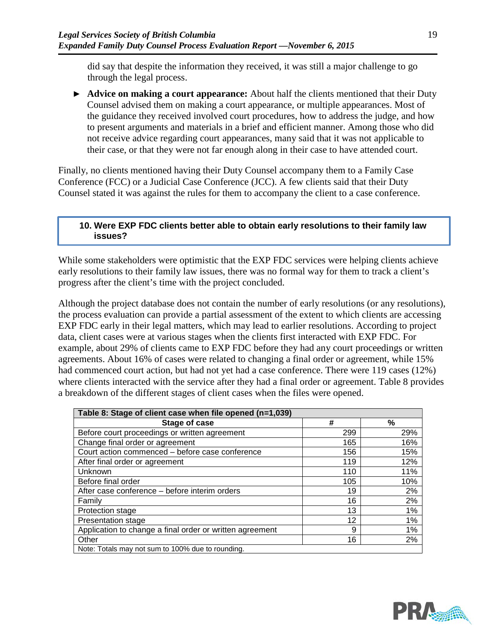did say that despite the information they received, it was still a major challenge to go through the legal process.

► **Advice on making a court appearance:** About half the clients mentioned that their Duty Counsel advised them on making a court appearance, or multiple appearances. Most of the guidance they received involved court procedures, how to address the judge, and how to present arguments and materials in a brief and efficient manner. Among those who did not receive advice regarding court appearances, many said that it was not applicable to their case, or that they were not far enough along in their case to have attended court.

Finally, no clients mentioned having their Duty Counsel accompany them to a Family Case Conference (FCC) or a Judicial Case Conference (JCC). A few clients said that their Duty Counsel stated it was against the rules for them to accompany the client to a case conference.

#### **10. Were EXP FDC clients better able to obtain early resolutions to their family law issues?**

While some stakeholders were optimistic that the EXP FDC services were helping clients achieve early resolutions to their family law issues, there was no formal way for them to track a client's progress after the client's time with the project concluded.

Although the project database does not contain the number of early resolutions (or any resolutions), the process evaluation can provide a partial assessment of the extent to which clients are accessing EXP FDC early in their legal matters, which may lead to earlier resolutions. According to project data, client cases were at various stages when the clients first interacted with EXP FDC. For example, about 29% of clients came to EXP FDC before they had any court proceedings or written agreements. About 16% of cases were related to changing a final order or agreement, while 15% had commenced court action, but had not yet had a case conference. There were 119 cases (12%) where clients interacted with the service after they had a final order or agreement. [Table 8](#page-22-0) provides a breakdown of the different stages of client cases when the files were opened.

<span id="page-22-0"></span>

| Table 8: Stage of client case when file opened (n=1,039) |     |       |  |  |
|----------------------------------------------------------|-----|-------|--|--|
| Stage of case                                            | #   | %     |  |  |
| Before court proceedings or written agreement            | 299 | 29%   |  |  |
| Change final order or agreement                          | 165 | 16%   |  |  |
| Court action commenced - before case conference          | 156 | 15%   |  |  |
| After final order or agreement                           | 119 | 12%   |  |  |
| Unknown                                                  | 110 | 11%   |  |  |
| Before final order                                       | 105 | 10%   |  |  |
| After case conference – before interim orders            | 19  | 2%    |  |  |
| Family                                                   | 16  | 2%    |  |  |
| <b>Protection stage</b>                                  | 13  | $1\%$ |  |  |
| Presentation stage                                       | 12  | $1\%$ |  |  |
| Application to change a final order or written agreement | 9   | $1\%$ |  |  |
| Other                                                    | 16  | 2%    |  |  |
| Note: Totals may not sum to 100% due to rounding.        |     |       |  |  |

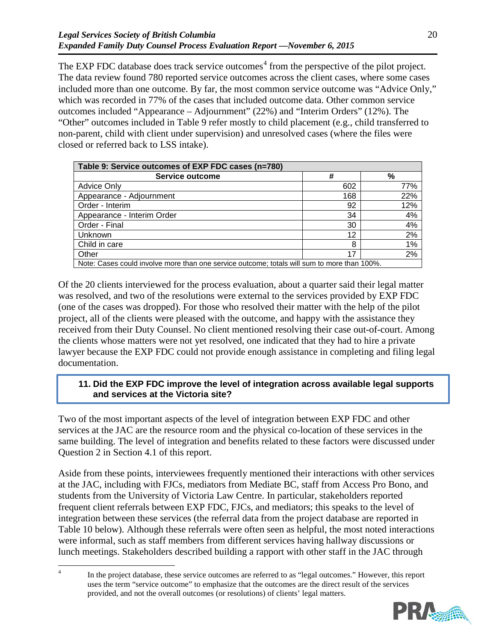The EXP FDC database does track service outcomes<sup>[4](#page-23-1)</sup> from the perspective of the pilot project. The data review found 780 reported service outcomes across the client cases, where some cases included more than one outcome. By far, the most common service outcome was "Advice Only," which was recorded in 77% of the cases that included outcome data. Other common service outcomes included "Appearance – Adjournment" (22%) and "Interim Orders" (12%). The "Other" outcomes included in [Table 9](#page-23-0) refer mostly to child placement (e.g., child transferred to non-parent, child with client under supervision) and unresolved cases (where the files were closed or referred back to LSS intake).

<span id="page-23-0"></span>

| Table 9: Service outcomes of EXP FDC cases (n=780)                                          |     |     |  |
|---------------------------------------------------------------------------------------------|-----|-----|--|
| Service outcome                                                                             | #   | %   |  |
| <b>Advice Only</b>                                                                          | 602 | 77% |  |
| Appearance - Adjournment                                                                    | 168 | 22% |  |
| Order - Interim                                                                             | 92  | 12% |  |
| Appearance - Interim Order                                                                  | 34  | 4%  |  |
| Order - Final                                                                               | 30  | 4%  |  |
| Unknown                                                                                     | 12  | 2%  |  |
| Child in care                                                                               | 8   | 1%  |  |
| Other                                                                                       | 17  | 2%  |  |
| Note: Cases could involve more than one service outcome; totals will sum to more than 100%. |     |     |  |

Of the 20 clients interviewed for the process evaluation, about a quarter said their legal matter was resolved, and two of the resolutions were external to the services provided by EXP FDC (one of the cases was dropped). For those who resolved their matter with the help of the pilot project, all of the clients were pleased with the outcome, and happy with the assistance they received from their Duty Counsel. No client mentioned resolving their case out-of-court. Among the clients whose matters were not yet resolved, one indicated that they had to hire a private lawyer because the EXP FDC could not provide enough assistance in completing and filing legal documentation.

### **11. Did the EXP FDC improve the level of integration across available legal supports and services at the Victoria site?**

Two of the most important aspects of the level of integration between EXP FDC and other services at the JAC are the resource room and the physical co-location of these services in the same building. The level of integration and benefits related to these factors were discussed under Question 2 in Section [4.1](#page-10-0) of this report.

Aside from these points, interviewees frequently mentioned their interactions with other services at the JAC, including with FJCs, mediators from Mediate BC, staff from Access Pro Bono, and students from the University of Victoria Law Centre. In particular, stakeholders reported frequent client referrals between EXP FDC, FJCs, and mediators; this speaks to the level of integration between these services (the referral data from the project database are reported in [Table 10](#page-25-0) below). Although these referrals were often seen as helpful, the most noted interactions were informal, such as staff members from different services having hallway discussions or lunch meetings. Stakeholders described building a rapport with other staff in the JAC through

<span id="page-23-1"></span><sup>&</sup>lt;sup>4</sup> In the project database, these service outcomes are referred to as "legal outcomes." However, this report uses the term "service outcome" to emphasize that the outcomes are the direct result of the services provided, and not the overall outcomes (or resolutions) of clients' legal matters.

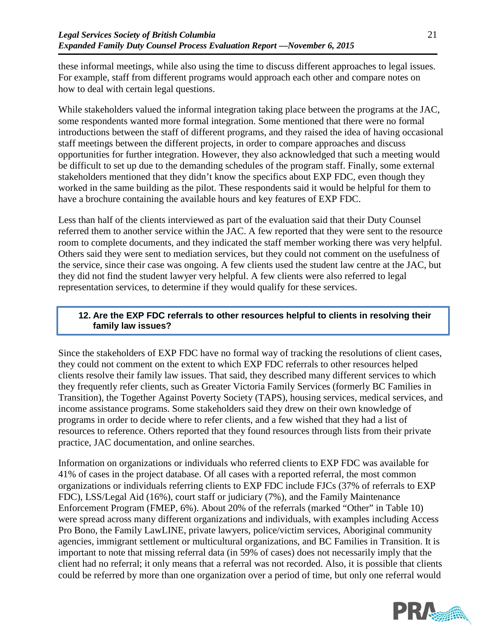these informal meetings, while also using the time to discuss different approaches to legal issues. For example, staff from different programs would approach each other and compare notes on how to deal with certain legal questions.

While stakeholders valued the informal integration taking place between the programs at the JAC, some respondents wanted more formal integration. Some mentioned that there were no formal introductions between the staff of different programs, and they raised the idea of having occasional staff meetings between the different projects, in order to compare approaches and discuss opportunities for further integration. However, they also acknowledged that such a meeting would be difficult to set up due to the demanding schedules of the program staff. Finally, some external stakeholders mentioned that they didn't know the specifics about EXP FDC, even though they worked in the same building as the pilot. These respondents said it would be helpful for them to have a brochure containing the available hours and key features of EXP FDC.

Less than half of the clients interviewed as part of the evaluation said that their Duty Counsel referred them to another service within the JAC. A few reported that they were sent to the resource room to complete documents, and they indicated the staff member working there was very helpful. Others said they were sent to mediation services, but they could not comment on the usefulness of the service, since their case was ongoing. A few clients used the student law centre at the JAC, but they did not find the student lawyer very helpful. A few clients were also referred to legal representation services, to determine if they would qualify for these services.

### **12. Are the EXP FDC referrals to other resources helpful to clients in resolving their family law issues?**

Since the stakeholders of EXP FDC have no formal way of tracking the resolutions of client cases, they could not comment on the extent to which EXP FDC referrals to other resources helped clients resolve their family law issues. That said, they described many different services to which they frequently refer clients, such as Greater Victoria Family Services (formerly BC Families in Transition), the Together Against Poverty Society (TAPS), housing services, medical services, and income assistance programs. Some stakeholders said they drew on their own knowledge of programs in order to decide where to refer clients, and a few wished that they had a list of resources to reference. Others reported that they found resources through lists from their private practice, JAC documentation, and online searches.

Information on organizations or individuals who referred clients to EXP FDC was available for 41% of cases in the project database. Of all cases with a reported referral, the most common organizations or individuals referring clients to EXP FDC include FJCs (37% of referrals to EXP FDC), LSS/Legal Aid (16%), court staff or judiciary (7%), and the Family Maintenance Enforcement Program (FMEP, 6%). About 20% of the referrals (marked "Other" in [Table 10\)](#page-25-0) were spread across many different organizations and individuals, with examples including Access Pro Bono, the Family LawLINE, private lawyers, police/victim services, Aboriginal community agencies, immigrant settlement or multicultural organizations, and BC Families in Transition. It is important to note that missing referral data (in 59% of cases) does not necessarily imply that the client had no referral; it only means that a referral was not recorded. Also, it is possible that clients could be referred by more than one organization over a period of time, but only one referral would

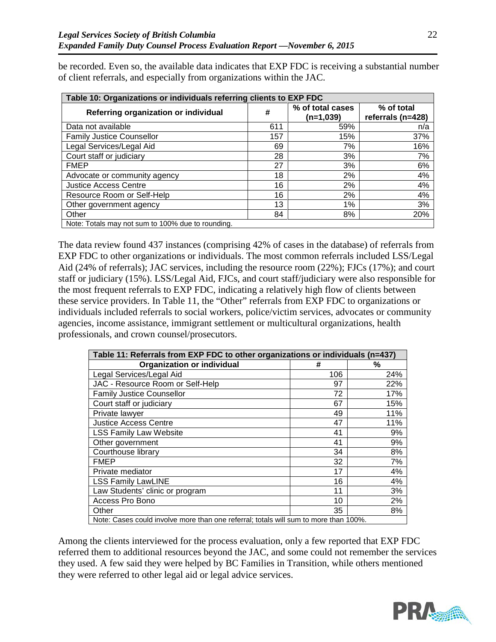be recorded. Even so, the available data indicates that EXP FDC is receiving a substantial number of client referrals, and especially from organizations within the JAC.

<span id="page-25-0"></span>

| Table 10: Organizations or individuals referring clients to EXP FDC |     |                                 |                                 |  |  |
|---------------------------------------------------------------------|-----|---------------------------------|---------------------------------|--|--|
| Referring organization or individual                                | #   | % of total cases<br>$(n=1,039)$ | % of total<br>referrals (n=428) |  |  |
| Data not available                                                  | 611 | 59%                             | n/a                             |  |  |
| <b>Family Justice Counsellor</b>                                    | 157 | 15%                             | 37%                             |  |  |
| Legal Services/Legal Aid                                            | 69  | 7%                              | 16%                             |  |  |
| Court staff or judiciary                                            | 28  | 3%                              | 7%                              |  |  |
| <b>FMEP</b>                                                         | 27  | 3%                              | 6%                              |  |  |
| Advocate or community agency                                        | 18  | 2%                              | 4%                              |  |  |
| <b>Justice Access Centre</b>                                        | 16  | 2%                              | 4%                              |  |  |
| Resource Room or Self-Help                                          | 16  | 2%                              | 4%                              |  |  |
| Other government agency                                             | 13  | 1%                              | 3%                              |  |  |
| Other                                                               | 84  | 8%                              | 20%                             |  |  |
| Note: Totals may not sum to 100% due to rounding.                   |     |                                 |                                 |  |  |

The data review found 437 instances (comprising 42% of cases in the database) of referrals from EXP FDC to other organizations or individuals. The most common referrals included LSS/Legal Aid (24% of referrals); JAC services, including the resource room (22%); FJCs (17%); and court staff or judiciary (15%). LSS/Legal Aid, FJCs, and court staff/judiciary were also responsible for the most frequent referrals to EXP FDC, indicating a relatively high flow of clients between these service providers. In [Table 11,](#page-25-1) the "Other" referrals from EXP FDC to organizations or individuals included referrals to social workers, police/victim services, advocates or community agencies, income assistance, immigrant settlement or multicultural organizations, health professionals, and crown counsel/prosecutors.

<span id="page-25-1"></span>

| Table 11: Referrals from EXP FDC to other organizations or individuals (n=437)       |     |     |  |
|--------------------------------------------------------------------------------------|-----|-----|--|
| <b>Organization or individual</b>                                                    | #   | %   |  |
| Legal Services/Legal Aid                                                             | 106 | 24% |  |
| JAC - Resource Room or Self-Help                                                     | 97  | 22% |  |
| <b>Family Justice Counsellor</b>                                                     | 72  | 17% |  |
| Court staff or judiciary                                                             | 67  | 15% |  |
| Private lawyer                                                                       | 49  | 11% |  |
| <b>Justice Access Centre</b>                                                         | 47  | 11% |  |
| <b>LSS Family Law Website</b>                                                        | 41  | 9%  |  |
| Other government                                                                     | 41  | 9%  |  |
| Courthouse library                                                                   | 34  | 8%  |  |
| <b>FMEP</b>                                                                          | 32  | 7%  |  |
| Private mediator                                                                     | 17  | 4%  |  |
| <b>LSS Family LawLINE</b>                                                            | 16  | 4%  |  |
| Law Students' clinic or program                                                      | 11  | 3%  |  |
| Access Pro Bono                                                                      | 10  | 2%  |  |
| Other                                                                                | 35  | 8%  |  |
| Note: Cases could involve more than one referral; totals will sum to more than 100%. |     |     |  |

Among the clients interviewed for the process evaluation, only a few reported that EXP FDC referred them to additional resources beyond the JAC, and some could not remember the services they used. A few said they were helped by BC Families in Transition, while others mentioned they were referred to other legal aid or legal advice services.



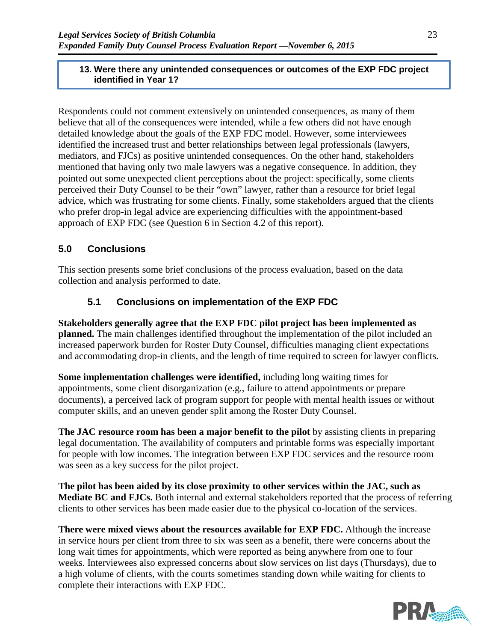#### **13. Were there any unintended consequences or outcomes of the EXP FDC project identified in Year 1?**

Respondents could not comment extensively on unintended consequences, as many of them believe that all of the consequences were intended, while a few others did not have enough detailed knowledge about the goals of the EXP FDC model. However, some interviewees identified the increased trust and better relationships between legal professionals (lawyers, mediators, and FJCs) as positive unintended consequences. On the other hand, stakeholders mentioned that having only two male lawyers was a negative consequence. In addition, they pointed out some unexpected client perceptions about the project: specifically, some clients perceived their Duty Counsel to be their "own" lawyer, rather than a resource for brief legal advice, which was frustrating for some clients. Finally, some stakeholders argued that the clients who prefer drop-in legal advice are experiencing difficulties with the appointment-based approach of EXP FDC (see Question 6 in Section [4.2](#page-16-1) of this report).

## **5.0 Conclusions**

This section presents some brief conclusions of the process evaluation, based on the data collection and analysis performed to date.

## **5.1 Conclusions on implementation of the EXP FDC**

**Stakeholders generally agree that the EXP FDC pilot project has been implemented as planned.** The main challenges identified throughout the implementation of the pilot included an increased paperwork burden for Roster Duty Counsel, difficulties managing client expectations and accommodating drop-in clients, and the length of time required to screen for lawyer conflicts.

**Some implementation challenges were identified,** including long waiting times for appointments, some client disorganization (e.g., failure to attend appointments or prepare documents), a perceived lack of program support for people with mental health issues or without computer skills, and an uneven gender split among the Roster Duty Counsel.

**The JAC resource room has been a major benefit to the pilot** by assisting clients in preparing legal documentation. The availability of computers and printable forms was especially important for people with low incomes. The integration between EXP FDC services and the resource room was seen as a key success for the pilot project.

**The pilot has been aided by its close proximity to other services within the JAC, such as Mediate BC and FJCs.** Both internal and external stakeholders reported that the process of referring clients to other services has been made easier due to the physical co-location of the services.

**There were mixed views about the resources available for EXP FDC.** Although the increase in service hours per client from three to six was seen as a benefit, there were concerns about the long wait times for appointments, which were reported as being anywhere from one to four weeks. Interviewees also expressed concerns about slow services on list days (Thursdays), due to a high volume of clients, with the courts sometimes standing down while waiting for clients to complete their interactions with EXP FDC.

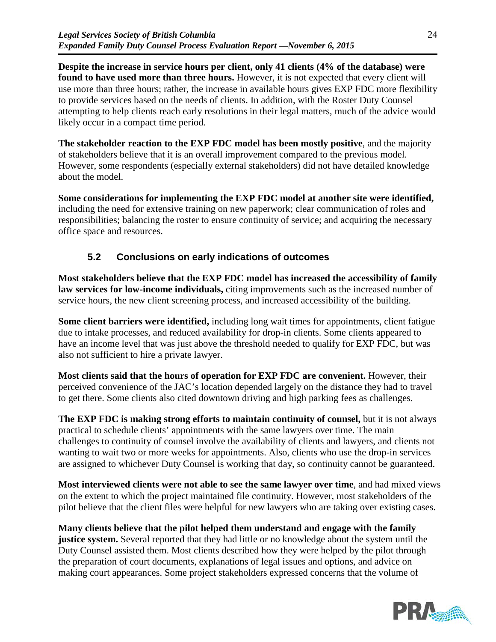**Despite the increase in service hours per client, only 41 clients (4% of the database) were found to have used more than three hours.** However, it is not expected that every client will use more than three hours; rather, the increase in available hours gives EXP FDC more flexibility to provide services based on the needs of clients. In addition, with the Roster Duty Counsel attempting to help clients reach early resolutions in their legal matters, much of the advice would likely occur in a compact time period.

**The stakeholder reaction to the EXP FDC model has been mostly positive**, and the majority of stakeholders believe that it is an overall improvement compared to the previous model. However, some respondents (especially external stakeholders) did not have detailed knowledge about the model.

**Some considerations for implementing the EXP FDC model at another site were identified,**  including the need for extensive training on new paperwork; clear communication of roles and responsibilities; balancing the roster to ensure continuity of service; and acquiring the necessary office space and resources.

# **5.2 Conclusions on early indications of outcomes**

**Most stakeholders believe that the EXP FDC model has increased the accessibility of family law services for low-income individuals,** citing improvements such as the increased number of service hours, the new client screening process, and increased accessibility of the building.

**Some client barriers were identified,** including long wait times for appointments, client fatigue due to intake processes, and reduced availability for drop-in clients. Some clients appeared to have an income level that was just above the threshold needed to qualify for EXP FDC, but was also not sufficient to hire a private lawyer.

**Most clients said that the hours of operation for EXP FDC are convenient.** However, their perceived convenience of the JAC's location depended largely on the distance they had to travel to get there. Some clients also cited downtown driving and high parking fees as challenges.

**The EXP FDC is making strong efforts to maintain continuity of counsel,** but it is not always practical to schedule clients' appointments with the same lawyers over time. The main challenges to continuity of counsel involve the availability of clients and lawyers, and clients not wanting to wait two or more weeks for appointments. Also, clients who use the drop-in services are assigned to whichever Duty Counsel is working that day, so continuity cannot be guaranteed.

**Most interviewed clients were not able to see the same lawyer over time**, and had mixed views on the extent to which the project maintained file continuity. However, most stakeholders of the pilot believe that the client files were helpful for new lawyers who are taking over existing cases.

**Many clients believe that the pilot helped them understand and engage with the family justice system.** Several reported that they had little or no knowledge about the system until the Duty Counsel assisted them. Most clients described how they were helped by the pilot through the preparation of court documents, explanations of legal issues and options, and advice on making court appearances. Some project stakeholders expressed concerns that the volume of

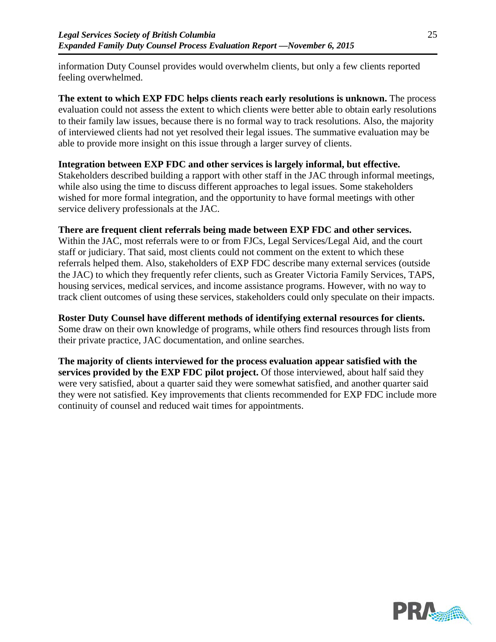information Duty Counsel provides would overwhelm clients, but only a few clients reported feeling overwhelmed.

**The extent to which EXP FDC helps clients reach early resolutions is unknown.** The process evaluation could not assess the extent to which clients were better able to obtain early resolutions to their family law issues, because there is no formal way to track resolutions. Also, the majority of interviewed clients had not yet resolved their legal issues. The summative evaluation may be able to provide more insight on this issue through a larger survey of clients.

#### **Integration between EXP FDC and other services is largely informal, but effective.**

Stakeholders described building a rapport with other staff in the JAC through informal meetings, while also using the time to discuss different approaches to legal issues. Some stakeholders wished for more formal integration, and the opportunity to have formal meetings with other service delivery professionals at the JAC.

### **There are frequent client referrals being made between EXP FDC and other services.**

Within the JAC, most referrals were to or from FJCs, Legal Services/Legal Aid, and the court staff or judiciary. That said, most clients could not comment on the extent to which these referrals helped them. Also, stakeholders of EXP FDC describe many external services (outside the JAC) to which they frequently refer clients, such as Greater Victoria Family Services, TAPS, housing services, medical services, and income assistance programs. However, with no way to track client outcomes of using these services, stakeholders could only speculate on their impacts.

**Roster Duty Counsel have different methods of identifying external resources for clients.**  Some draw on their own knowledge of programs, while others find resources through lists from their private practice, JAC documentation, and online searches.

**The majority of clients interviewed for the process evaluation appear satisfied with the services provided by the EXP FDC pilot project.** Of those interviewed, about half said they were very satisfied, about a quarter said they were somewhat satisfied, and another quarter said they were not satisfied. Key improvements that clients recommended for EXP FDC include more continuity of counsel and reduced wait times for appointments.

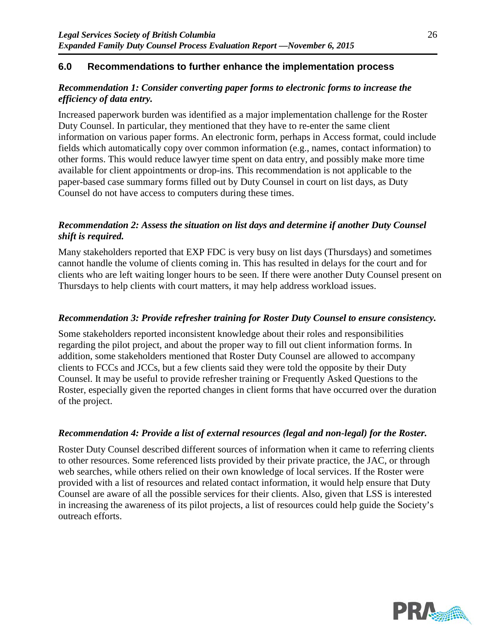### **6.0 Recommendations to further enhance the implementation process**

### *Recommendation 1: Consider converting paper forms to electronic forms to increase the efficiency of data entry.*

Increased paperwork burden was identified as a major implementation challenge for the Roster Duty Counsel. In particular, they mentioned that they have to re-enter the same client information on various paper forms. An electronic form, perhaps in Access format, could include fields which automatically copy over common information (e.g., names, contact information) to other forms. This would reduce lawyer time spent on data entry, and possibly make more time available for client appointments or drop-ins. This recommendation is not applicable to the paper-based case summary forms filled out by Duty Counsel in court on list days, as Duty Counsel do not have access to computers during these times.

#### *Recommendation 2: Assess the situation on list days and determine if another Duty Counsel shift is required.*

Many stakeholders reported that EXP FDC is very busy on list days (Thursdays) and sometimes cannot handle the volume of clients coming in. This has resulted in delays for the court and for clients who are left waiting longer hours to be seen. If there were another Duty Counsel present on Thursdays to help clients with court matters, it may help address workload issues.

#### *Recommendation 3: Provide refresher training for Roster Duty Counsel to ensure consistency.*

Some stakeholders reported inconsistent knowledge about their roles and responsibilities regarding the pilot project, and about the proper way to fill out client information forms. In addition, some stakeholders mentioned that Roster Duty Counsel are allowed to accompany clients to FCCs and JCCs, but a few clients said they were told the opposite by their Duty Counsel. It may be useful to provide refresher training or Frequently Asked Questions to the Roster, especially given the reported changes in client forms that have occurred over the duration of the project.

#### *Recommendation 4: Provide a list of external resources (legal and non-legal) for the Roster.*

Roster Duty Counsel described different sources of information when it came to referring clients to other resources. Some referenced lists provided by their private practice, the JAC, or through web searches, while others relied on their own knowledge of local services. If the Roster were provided with a list of resources and related contact information, it would help ensure that Duty Counsel are aware of all the possible services for their clients. Also, given that LSS is interested in increasing the awareness of its pilot projects, a list of resources could help guide the Society's outreach efforts.

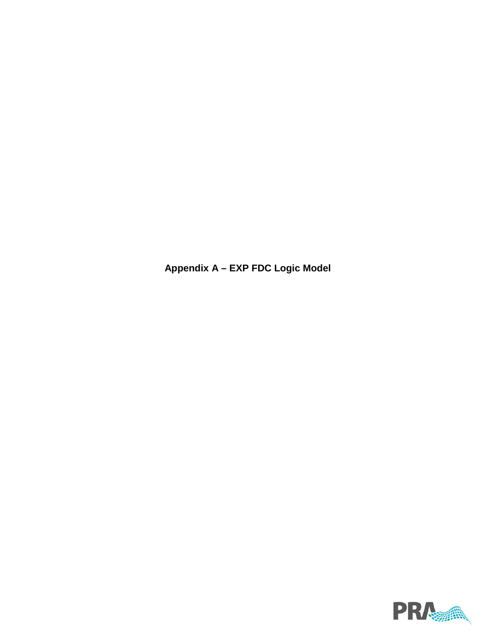**Appendix A – EXP FDC Logic Model**

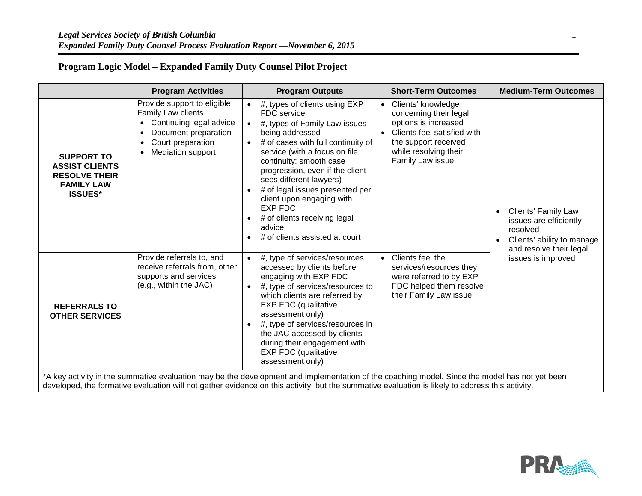# **Program Logic Model – Expanded Family Duty Counsel Pilot Project**

|                                                                                                                                                                                                                                                                                                  | <b>Program Activities</b>                                                                                                                                          | <b>Program Outputs</b>                                                                                                                                                                                                                                                                                                                                                                                                         | <b>Short-Term Outcomes</b>                                                                                                                                                                         | <b>Medium-Term Outcomes</b>                                                                                                            |  |
|--------------------------------------------------------------------------------------------------------------------------------------------------------------------------------------------------------------------------------------------------------------------------------------------------|--------------------------------------------------------------------------------------------------------------------------------------------------------------------|--------------------------------------------------------------------------------------------------------------------------------------------------------------------------------------------------------------------------------------------------------------------------------------------------------------------------------------------------------------------------------------------------------------------------------|----------------------------------------------------------------------------------------------------------------------------------------------------------------------------------------------------|----------------------------------------------------------------------------------------------------------------------------------------|--|
| <b>SUPPORT TO</b><br><b>ASSIST CLIENTS</b><br><b>RESOLVE THEIR</b><br><b>FAMILY LAW</b><br><b>ISSUES*</b>                                                                                                                                                                                        | Provide support to eligible<br>Family Law clients<br>Continuing legal advice<br>Document preparation<br>Court preparation<br>$\bullet$<br><b>Mediation support</b> | #, types of clients using EXP<br>FDC service<br>#, types of Family Law issues<br>being addressed<br># of cases with full continuity of<br>service (with a focus on file<br>continuity: smooth case<br>progression, even if the client<br>sees different lawyers)<br># of legal issues presented per<br>client upon engaging with<br><b>EXP FDC</b><br># of clients receiving legal<br>advice<br># of clients assisted at court | Clients' knowledge<br>$\bullet$<br>concerning their legal<br>options is increased<br>Clients feel satisfied with<br>$\bullet$<br>the support received<br>while resolving their<br>Family Law issue | <b>Clients' Family Law</b><br>issues are efficiently<br>resolved<br>Clients' ability to manage<br>$\bullet$<br>and resolve their legal |  |
| <b>REFERRALS TO</b><br><b>OTHER SERVICES</b>                                                                                                                                                                                                                                                     | Provide referrals to, and<br>receive referrals from, other<br>supports and services<br>(e.g., within the JAC)                                                      | $\bullet$ #, type of services/resources<br>accessed by clients before<br>engaging with EXP FDC<br>#, type of services/resources to<br>which clients are referred by<br><b>EXP FDC (qualitative</b><br>assessment only)<br>#, type of services/resources in<br>the JAC accessed by clients<br>during their engagement with<br><b>EXP FDC (qualitative</b><br>assessment only)                                                   | Clients feel the<br>$\bullet$<br>services/resources they<br>were referred to by EXP<br>FDC helped them resolve<br>their Family Law issue                                                           | issues is improved                                                                                                                     |  |
| *A key activity in the summative evaluation may be the development and implementation of the coaching model. Since the model has not yet been<br>developed, the formative evaluation will not gather evidence on this activity, but the summative evaluation is likely to address this activity. |                                                                                                                                                                    |                                                                                                                                                                                                                                                                                                                                                                                                                                |                                                                                                                                                                                                    |                                                                                                                                        |  |

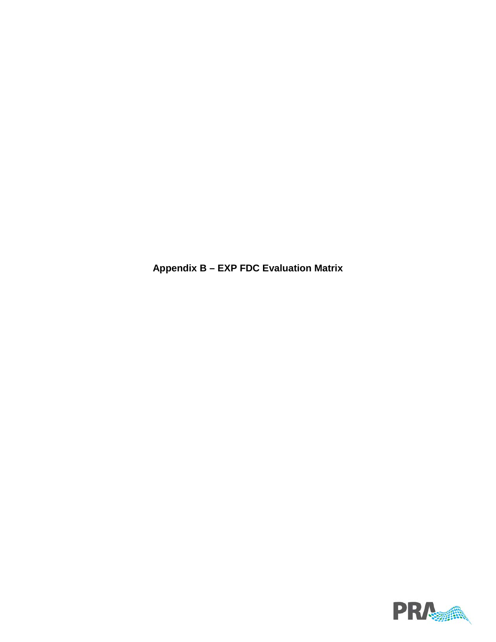**Appendix B – EXP FDC Evaluation Matrix**

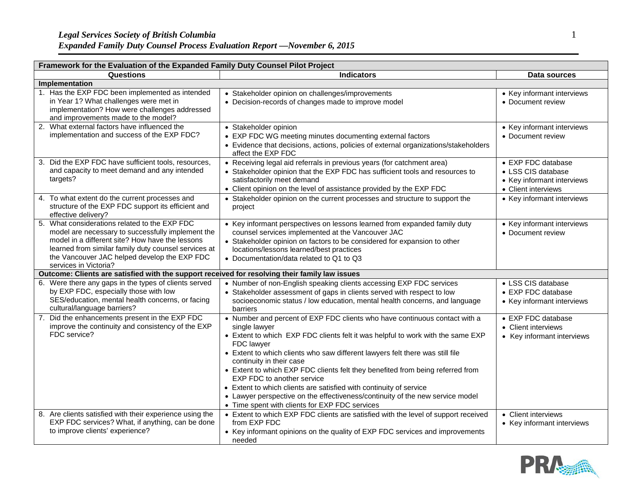| Framework for the Evaluation of the Expanded Family Duty Counsel Pilot Project                                                                                                                                                                                                         |                                                                                                                                                                                                                                                                                                                                                                                                                                                                                                                                                                                                                                           |                                                                                               |  |  |  |  |
|----------------------------------------------------------------------------------------------------------------------------------------------------------------------------------------------------------------------------------------------------------------------------------------|-------------------------------------------------------------------------------------------------------------------------------------------------------------------------------------------------------------------------------------------------------------------------------------------------------------------------------------------------------------------------------------------------------------------------------------------------------------------------------------------------------------------------------------------------------------------------------------------------------------------------------------------|-----------------------------------------------------------------------------------------------|--|--|--|--|
| Questions                                                                                                                                                                                                                                                                              | <b>Indicators</b>                                                                                                                                                                                                                                                                                                                                                                                                                                                                                                                                                                                                                         | Data sources                                                                                  |  |  |  |  |
| Implementation                                                                                                                                                                                                                                                                         |                                                                                                                                                                                                                                                                                                                                                                                                                                                                                                                                                                                                                                           |                                                                                               |  |  |  |  |
| 1. Has the EXP FDC been implemented as intended<br>in Year 1? What challenges were met in<br>implementation? How were challenges addressed<br>and improvements made to the model?                                                                                                      | • Stakeholder opinion on challenges/improvements<br>• Decision-records of changes made to improve model                                                                                                                                                                                                                                                                                                                                                                                                                                                                                                                                   | • Key informant interviews<br>• Document review                                               |  |  |  |  |
| 2. What external factors have influenced the<br>implementation and success of the EXP FDC?                                                                                                                                                                                             | • Stakeholder opinion<br>• EXP FDC WG meeting minutes documenting external factors<br>• Evidence that decisions, actions, policies of external organizations/stakeholders<br>affect the EXP FDC                                                                                                                                                                                                                                                                                                                                                                                                                                           | • Key informant interviews<br>• Document review                                               |  |  |  |  |
| 3. Did the EXP FDC have sufficient tools, resources,<br>and capacity to meet demand and any intended<br>targets?                                                                                                                                                                       | • Receiving legal aid referrals in previous years (for catchment area)<br>• Stakeholder opinion that the EXP FDC has sufficient tools and resources to<br>satisfactorily meet demand<br>• Client opinion on the level of assistance provided by the EXP FDC                                                                                                                                                                                                                                                                                                                                                                               | • EXP FDC database<br>• LSS CIS database<br>• Key informant interviews<br>• Client interviews |  |  |  |  |
| 4. To what extent do the current processes and<br>structure of the EXP FDC support its efficient and<br>effective delivery?                                                                                                                                                            | • Stakeholder opinion on the current processes and structure to support the<br>project                                                                                                                                                                                                                                                                                                                                                                                                                                                                                                                                                    | • Key informant interviews                                                                    |  |  |  |  |
| 5. What considerations related to the EXP FDC<br>model are necessary to successfully implement the<br>model in a different site? How have the lessons<br>learned from similar family duty counsel services at<br>the Vancouver JAC helped develop the EXP FDC<br>services in Victoria? | • Key informant perspectives on lessons learned from expanded family duty<br>counsel services implemented at the Vancouver JAC<br>• Stakeholder opinion on factors to be considered for expansion to other<br>locations/lessons learned/best practices<br>• Documentation/data related to Q1 to Q3                                                                                                                                                                                                                                                                                                                                        | • Key informant interviews<br>• Document review                                               |  |  |  |  |
| Outcome: Clients are satisfied with the support received for resolving their family law issues                                                                                                                                                                                         |                                                                                                                                                                                                                                                                                                                                                                                                                                                                                                                                                                                                                                           |                                                                                               |  |  |  |  |
| 6. Were there any gaps in the types of clients served<br>by EXP FDC, especially those with low<br>SES/education, mental health concerns, or facing<br>cultural/language barriers?                                                                                                      | • Number of non-English speaking clients accessing EXP FDC services<br>• Stakeholder assessment of gaps in clients served with respect to low<br>socioeconomic status / low education, mental health concerns, and language<br>barriers                                                                                                                                                                                                                                                                                                                                                                                                   | • LSS CIS database<br>• EXP FDC database<br>• Key informant interviews                        |  |  |  |  |
| 7. Did the enhancements present in the EXP FDC<br>improve the continuity and consistency of the EXP<br>FDC service?                                                                                                                                                                    | • Number and percent of EXP FDC clients who have continuous contact with a<br>single lawyer<br>• Extent to which EXP FDC clients felt it was helpful to work with the same EXP<br><b>FDC</b> lawyer<br>• Extent to which clients who saw different lawyers felt there was still file<br>continuity in their case<br>• Extent to which EXP FDC clients felt they benefited from being referred from<br>EXP FDC to another service<br>• Extent to which clients are satisfied with continuity of service<br>• Lawyer perspective on the effectiveness/continuity of the new service model<br>• Time spent with clients for EXP FDC services | • EXP FDC database<br>• Client interviews<br>• Key informant interviews                       |  |  |  |  |
| 8. Are clients satisfied with their experience using the<br>EXP FDC services? What, if anything, can be done<br>to improve clients' experience?                                                                                                                                        | • Extent to which EXP FDC clients are satisfied with the level of support received<br>from EXP FDC<br>• Key informant opinions on the quality of EXP FDC services and improvements<br>needed                                                                                                                                                                                                                                                                                                                                                                                                                                              | • Client interviews<br>• Key informant interviews                                             |  |  |  |  |

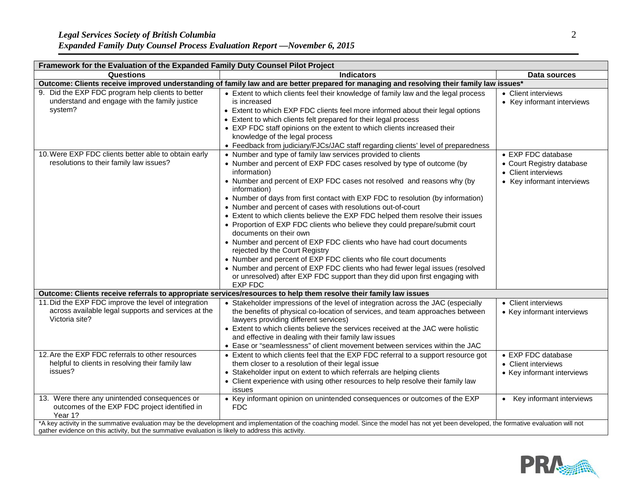| Framework for the Evaluation of the Expanded Family Duty Counsel Pilot Project                                                            |                                                                                                                                                                                                                                                                                                                                                                                                                                                                                                                                                                                                                                                                                                                                                                                                                                                                                                                                                             |                                                                                                      |  |  |  |
|-------------------------------------------------------------------------------------------------------------------------------------------|-------------------------------------------------------------------------------------------------------------------------------------------------------------------------------------------------------------------------------------------------------------------------------------------------------------------------------------------------------------------------------------------------------------------------------------------------------------------------------------------------------------------------------------------------------------------------------------------------------------------------------------------------------------------------------------------------------------------------------------------------------------------------------------------------------------------------------------------------------------------------------------------------------------------------------------------------------------|------------------------------------------------------------------------------------------------------|--|--|--|
| Questions                                                                                                                                 | <b>Indicators</b>                                                                                                                                                                                                                                                                                                                                                                                                                                                                                                                                                                                                                                                                                                                                                                                                                                                                                                                                           | Data sources                                                                                         |  |  |  |
| Outcome: Clients receive improved understanding of family law and are better prepared for managing and resolving their family law issues* |                                                                                                                                                                                                                                                                                                                                                                                                                                                                                                                                                                                                                                                                                                                                                                                                                                                                                                                                                             |                                                                                                      |  |  |  |
| 9. Did the EXP FDC program help clients to better<br>understand and engage with the family justice<br>system?                             | • Extent to which clients feel their knowledge of family law and the legal process<br>is increased<br>• Extent to which EXP FDC clients feel more informed about their legal options<br>• Extent to which clients felt prepared for their legal process<br>• EXP FDC staff opinions on the extent to which clients increased their<br>knowledge of the legal process<br>• Feedback from judiciary/FJCs/JAC staff regarding clients' level of preparedness                                                                                                                                                                                                                                                                                                                                                                                                                                                                                                   | • Client interviews<br>• Key informant interviews                                                    |  |  |  |
| 10. Were EXP FDC clients better able to obtain early<br>resolutions to their family law issues?                                           | • Number and type of family law services provided to clients<br>• Number and percent of EXP FDC cases resolved by type of outcome (by<br>information)<br>• Number and percent of EXP FDC cases not resolved and reasons why (by<br>information)<br>• Number of days from first contact with EXP FDC to resolution (by information)<br>• Number and percent of cases with resolutions out-of-court<br>• Extent to which clients believe the EXP FDC helped them resolve their issues<br>• Proportion of EXP FDC clients who believe they could prepare/submit court<br>documents on their own<br>• Number and percent of EXP FDC clients who have had court documents<br>rejected by the Court Registry<br>• Number and percent of EXP FDC clients who file court documents<br>• Number and percent of EXP FDC clients who had fewer legal issues (resolved<br>or unresolved) after EXP FDC support than they did upon first engaging with<br><b>EXP FDC</b> | • EXP FDC database<br>• Court Registry database<br>• Client interviews<br>• Key informant interviews |  |  |  |
|                                                                                                                                           | Outcome: Clients receive referrals to appropriate services/resources to help them resolve their family law issues                                                                                                                                                                                                                                                                                                                                                                                                                                                                                                                                                                                                                                                                                                                                                                                                                                           |                                                                                                      |  |  |  |
| 11. Did the EXP FDC improve the level of integration<br>across available legal supports and services at the<br>Victoria site?             | • Stakeholder impressions of the level of integration across the JAC (especially<br>the benefits of physical co-location of services, and team approaches between<br>lawyers providing different services)<br>• Extent to which clients believe the services received at the JAC were holistic<br>and effective in dealing with their family law issues<br>• Ease or "seamlessness" of client movement between services within the JAC                                                                                                                                                                                                                                                                                                                                                                                                                                                                                                                      | • Client interviews<br>• Key informant interviews                                                    |  |  |  |
| 12. Are the EXP FDC referrals to other resources<br>helpful to clients in resolving their family law<br>issues?                           | • Extent to which clients feel that the EXP FDC referral to a support resource got<br>them closer to a resolution of their legal issue<br>• Stakeholder input on extent to which referrals are helping clients<br>• Client experience with using other resources to help resolve their family law<br>issues                                                                                                                                                                                                                                                                                                                                                                                                                                                                                                                                                                                                                                                 | • EXP FDC database<br>• Client interviews<br>• Key informant interviews                              |  |  |  |
| 13. Were there any unintended consequences or<br>outcomes of the EXP FDC project identified in<br>Year 1?                                 | • Key informant opinion on unintended consequences or outcomes of the EXP<br><b>FDC</b><br>*A key activity in the summative evaluation may be the development and implementation of the coaching model. Since the model has not yet been developed, the formative evaluation will not                                                                                                                                                                                                                                                                                                                                                                                                                                                                                                                                                                                                                                                                       | Key informant interviews<br>$\bullet$                                                                |  |  |  |
| gather evidence on this activity, but the summative evaluation is likely to address this activity.                                        |                                                                                                                                                                                                                                                                                                                                                                                                                                                                                                                                                                                                                                                                                                                                                                                                                                                                                                                                                             |                                                                                                      |  |  |  |

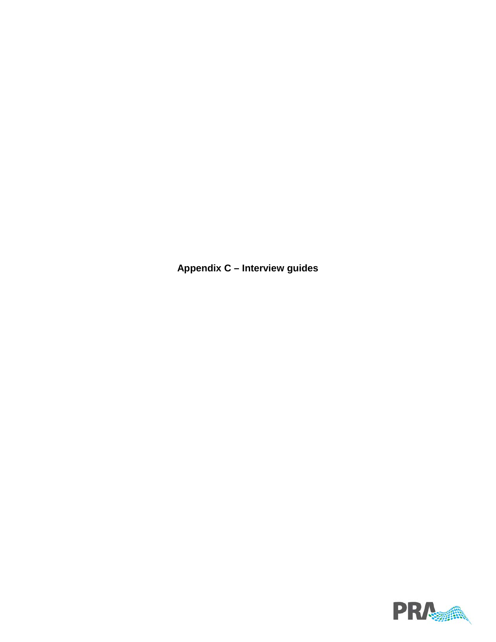**Appendix C – Interview guides**

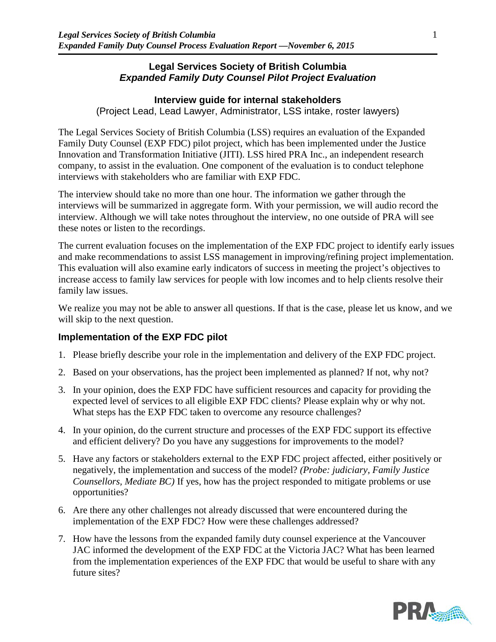#### **Legal Services Society of British Columbia** *Expanded Family Duty Counsel Pilot Project Evaluation*

### **Interview guide for internal stakeholders**

(Project Lead, Lead Lawyer, Administrator, LSS intake, roster lawyers)

The Legal Services Society of British Columbia (LSS) requires an evaluation of the Expanded Family Duty Counsel (EXP FDC) pilot project, which has been implemented under the Justice Innovation and Transformation Initiative (JITI). LSS hired PRA Inc., an independent research company, to assist in the evaluation. One component of the evaluation is to conduct telephone interviews with stakeholders who are familiar with EXP FDC.

The interview should take no more than one hour. The information we gather through the interviews will be summarized in aggregate form. With your permission, we will audio record the interview. Although we will take notes throughout the interview, no one outside of PRA will see these notes or listen to the recordings.

The current evaluation focuses on the implementation of the EXP FDC project to identify early issues and make recommendations to assist LSS management in improving/refining project implementation. This evaluation will also examine early indicators of success in meeting the project's objectives to increase access to family law services for people with low incomes and to help clients resolve their family law issues.

We realize you may not be able to answer all questions. If that is the case, please let us know, and we will skip to the next question.

### **Implementation of the EXP FDC pilot**

- 1. Please briefly describe your role in the implementation and delivery of the EXP FDC project.
- 2. Based on your observations, has the project been implemented as planned? If not, why not?
- 3. In your opinion, does the EXP FDC have sufficient resources and capacity for providing the expected level of services to all eligible EXP FDC clients? Please explain why or why not. What steps has the EXP FDC taken to overcome any resource challenges?
- 4. In your opinion, do the current structure and processes of the EXP FDC support its effective and efficient delivery? Do you have any suggestions for improvements to the model?
- 5. Have any factors or stakeholders external to the EXP FDC project affected, either positively or negatively, the implementation and success of the model? *(Probe: judiciary, Family Justice Counsellors, Mediate BC)* If yes, how has the project responded to mitigate problems or use opportunities?
- 6. Are there any other challenges not already discussed that were encountered during the implementation of the EXP FDC? How were these challenges addressed?
- 7. How have the lessons from the expanded family duty counsel experience at the Vancouver JAC informed the development of the EXP FDC at the Victoria JAC? What has been learned from the implementation experiences of the EXP FDC that would be useful to share with any future sites?

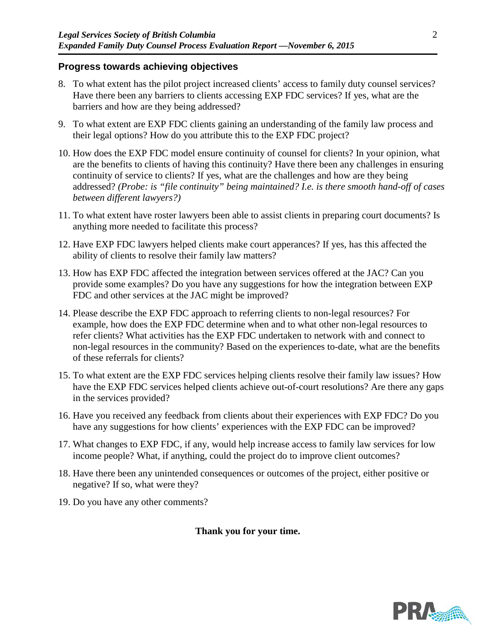#### **Progress towards achieving objectives**

- 8. To what extent has the pilot project increased clients' access to family duty counsel services? Have there been any barriers to clients accessing EXP FDC services? If yes, what are the barriers and how are they being addressed?
- 9. To what extent are EXP FDC clients gaining an understanding of the family law process and their legal options? How do you attribute this to the EXP FDC project?
- 10. How does the EXP FDC model ensure continuity of counsel for clients? In your opinion, what are the benefits to clients of having this continuity? Have there been any challenges in ensuring continuity of service to clients? If yes, what are the challenges and how are they being addressed? *(Probe: is "file continuity" being maintained? I.e. is there smooth hand-off of cases between different lawyers?)*
- 11. To what extent have roster lawyers been able to assist clients in preparing court documents? Is anything more needed to facilitate this process?
- 12. Have EXP FDC lawyers helped clients make court apperances? If yes, has this affected the ability of clients to resolve their family law matters?
- 13. How has EXP FDC affected the integration between services offered at the JAC? Can you provide some examples? Do you have any suggestions for how the integration between EXP FDC and other services at the JAC might be improved?
- 14. Please describe the EXP FDC approach to referring clients to non-legal resources? For example, how does the EXP FDC determine when and to what other non-legal resources to refer clients? What activities has the EXP FDC undertaken to network with and connect to non-legal resources in the community? Based on the experiences to-date, what are the benefits of these referrals for clients?
- 15. To what extent are the EXP FDC services helping clients resolve their family law issues? How have the EXP FDC services helped clients achieve out-of-court resolutions? Are there any gaps in the services provided?
- 16. Have you received any feedback from clients about their experiences with EXP FDC? Do you have any suggestions for how clients' experiences with the EXP FDC can be improved?
- 17. What changes to EXP FDC, if any, would help increase access to family law services for low income people? What, if anything, could the project do to improve client outcomes?
- 18. Have there been any unintended consequences or outcomes of the project, either positive or negative? If so, what were they?
- 19. Do you have any other comments?

#### **Thank you for your time.**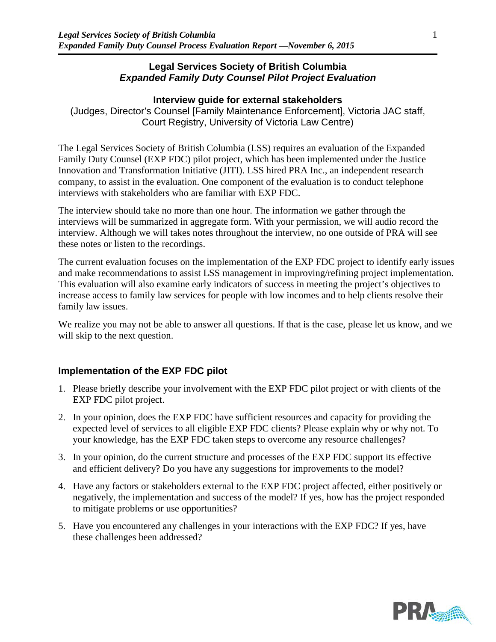### **Legal Services Society of British Columbia** *Expanded Family Duty Counsel Pilot Project Evaluation*

### **Interview guide for external stakeholders**

(Judges, Director's Counsel [Family Maintenance Enforcement], Victoria JAC staff, Court Registry, University of Victoria Law Centre)

The Legal Services Society of British Columbia (LSS) requires an evaluation of the Expanded Family Duty Counsel (EXP FDC) pilot project, which has been implemented under the Justice Innovation and Transformation Initiative (JITI). LSS hired PRA Inc., an independent research company, to assist in the evaluation. One component of the evaluation is to conduct telephone interviews with stakeholders who are familiar with EXP FDC.

The interview should take no more than one hour. The information we gather through the interviews will be summarized in aggregate form. With your permission, we will audio record the interview. Although we will takes notes throughout the interview, no one outside of PRA will see these notes or listen to the recordings.

The current evaluation focuses on the implementation of the EXP FDC project to identify early issues and make recommendations to assist LSS management in improving/refining project implementation. This evaluation will also examine early indicators of success in meeting the project's objectives to increase access to family law services for people with low incomes and to help clients resolve their family law issues.

We realize you may not be able to answer all questions. If that is the case, please let us know, and we will skip to the next question.

### **Implementation of the EXP FDC pilot**

- 1. Please briefly describe your involvement with the EXP FDC pilot project or with clients of the EXP FDC pilot project.
- 2. In your opinion, does the EXP FDC have sufficient resources and capacity for providing the expected level of services to all eligible EXP FDC clients? Please explain why or why not. To your knowledge, has the EXP FDC taken steps to overcome any resource challenges?
- 3. In your opinion, do the current structure and processes of the EXP FDC support its effective and efficient delivery? Do you have any suggestions for improvements to the model?
- 4. Have any factors or stakeholders external to the EXP FDC project affected, either positively or negatively, the implementation and success of the model? If yes, how has the project responded to mitigate problems or use opportunities?
- 5. Have you encountered any challenges in your interactions with the EXP FDC? If yes, have these challenges been addressed?

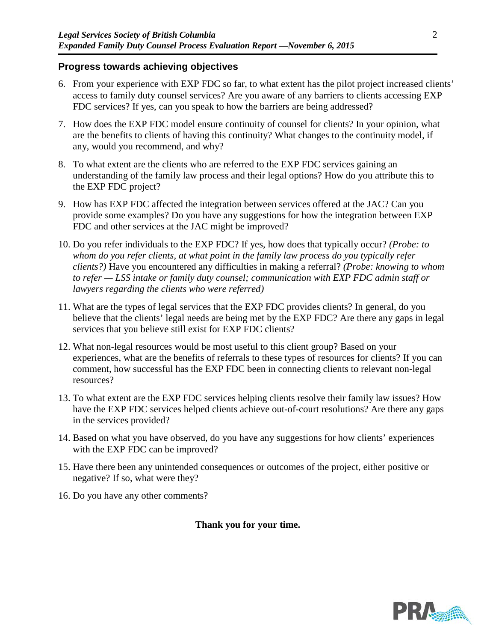#### **Progress towards achieving objectives**

- 6. From your experience with EXP FDC so far, to what extent has the pilot project increased clients' access to family duty counsel services? Are you aware of any barriers to clients accessing EXP FDC services? If yes, can you speak to how the barriers are being addressed?
- 7. How does the EXP FDC model ensure continuity of counsel for clients? In your opinion, what are the benefits to clients of having this continuity? What changes to the continuity model, if any, would you recommend, and why?
- 8. To what extent are the clients who are referred to the EXP FDC services gaining an understanding of the family law process and their legal options? How do you attribute this to the EXP FDC project?
- 9. How has EXP FDC affected the integration between services offered at the JAC? Can you provide some examples? Do you have any suggestions for how the integration between EXP FDC and other services at the JAC might be improved?
- 10. Do you refer individuals to the EXP FDC? If yes, how does that typically occur? *(Probe: to whom do you refer clients, at what point in the family law process do you typically refer clients?)* Have you encountered any difficulties in making a referral? *(Probe: knowing to whom to refer — LSS intake or family duty counsel; communication with EXP FDC admin staff or lawyers regarding the clients who were referred)*
- 11. What are the types of legal services that the EXP FDC provides clients? In general, do you believe that the clients' legal needs are being met by the EXP FDC? Are there any gaps in legal services that you believe still exist for EXP FDC clients?
- 12. What non-legal resources would be most useful to this client group? Based on your experiences, what are the benefits of referrals to these types of resources for clients? If you can comment, how successful has the EXP FDC been in connecting clients to relevant non-legal resources?
- 13. To what extent are the EXP FDC services helping clients resolve their family law issues? How have the EXP FDC services helped clients achieve out-of-court resolutions? Are there any gaps in the services provided?
- 14. Based on what you have observed, do you have any suggestions for how clients' experiences with the EXP FDC can be improved?
- 15. Have there been any unintended consequences or outcomes of the project, either positive or negative? If so, what were they?
- 16. Do you have any other comments?

**Thank you for your time.**

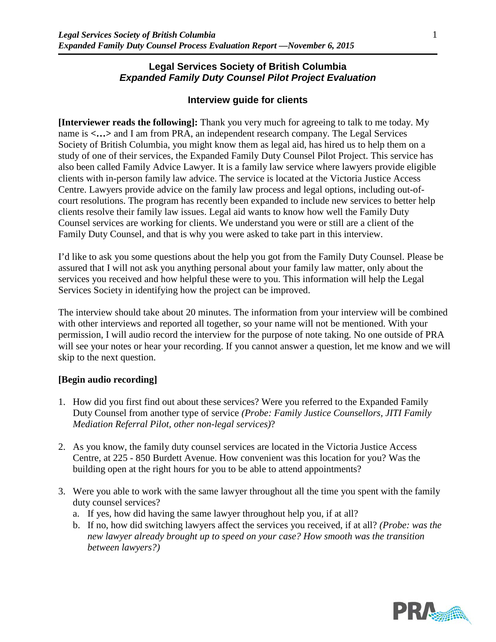### **Legal Services Society of British Columbia** *Expanded Family Duty Counsel Pilot Project Evaluation*

### **Interview guide for clients**

**[Interviewer reads the following]:** Thank you very much for agreeing to talk to me today. My name is  $\langle \ldots \rangle$  and I am from PRA, an independent research company. The Legal Services Society of British Columbia, you might know them as legal aid, has hired us to help them on a study of one of their services, the Expanded Family Duty Counsel Pilot Project. This service has also been called Family Advice Lawyer. It is a family law service where lawyers provide eligible clients with in-person family law advice. The service is located at the Victoria Justice Access Centre. Lawyers provide advice on the family law process and legal options, including out-ofcourt resolutions. The program has recently been expanded to include new services to better help clients resolve their family law issues. Legal aid wants to know how well the Family Duty Counsel services are working for clients. We understand you were or still are a client of the Family Duty Counsel, and that is why you were asked to take part in this interview.

I'd like to ask you some questions about the help you got from the Family Duty Counsel. Please be assured that I will not ask you anything personal about your family law matter, only about the services you received and how helpful these were to you. This information will help the Legal Services Society in identifying how the project can be improved.

The interview should take about 20 minutes. The information from your interview will be combined with other interviews and reported all together, so your name will not be mentioned. With your permission, I will audio record the interview for the purpose of note taking. No one outside of PRA will see your notes or hear your recording. If you cannot answer a question, let me know and we will skip to the next question.

#### **[Begin audio recording]**

- 1. How did you first find out about these services? Were you referred to the Expanded Family Duty Counsel from another type of service *(Probe: Family Justice Counsellors, JITI Family Mediation Referral Pilot, other non-legal services)*?
- 2. As you know, the family duty counsel services are located in the Victoria Justice Access Centre, at 225 - 850 Burdett Avenue. How convenient was this location for you? Was the building open at the right hours for you to be able to attend appointments?
- 3. Were you able to work with the same lawyer throughout all the time you spent with the family duty counsel services?
	- a. If yes, how did having the same lawyer throughout help you, if at all?
	- b. If no, how did switching lawyers affect the services you received, if at all? *(Probe: was the new lawyer already brought up to speed on your case? How smooth was the transition between lawyers?)*